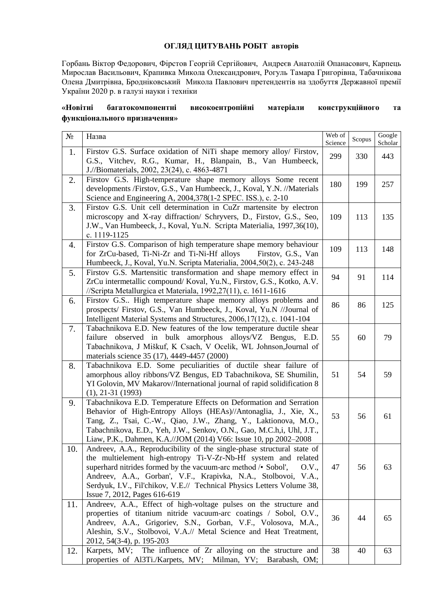## **ОГЛЯД ЦИТУВАНЬ РОБІТ авторів**

Горбань Віктор Федорович, Фірстов Георгій Сергійович, Андреєв Анатолій Опанасович, Карпець Мирослав Васильович, Крапивка Микола Олександрович, Рогуль Тамара Григорівна, Табачнікова Олена Дмитрівна, Бродніковський Микола Павлович претендентів на здобуття Державної премії України 2020 р. в галузі науки і техніки

## **«Новітні багатокомпонентні високоентропійні матеріали конструкційного та функціонального призначення»**

| $N_{\! \! \! \text{o}}$ | Назва                                                                                                                                                                                                                                                                                                                                                                                           | Web of<br>Science | Scopus | Google<br>Scholar |
|-------------------------|-------------------------------------------------------------------------------------------------------------------------------------------------------------------------------------------------------------------------------------------------------------------------------------------------------------------------------------------------------------------------------------------------|-------------------|--------|-------------------|
| 1.                      | Firstov G.S. Surface oxidation of NiTi shape memory alloy/ Firstov,<br>G.S., Vitchev, R.G., Kumar, H., Blanpain, B., Van Humbeeck,<br>J.//Biomaterials, 2002, 23(24), c. 4863-4871                                                                                                                                                                                                              | 299               | 330    | 443               |
| 2.                      | Firstov G.S. High-temperature shape memory alloys Some recent<br>developments /Firstov, G.S., Van Humbeeck, J., Koval, Y.N. //Materials<br>Science and Engineering A, 2004,378(1-2 SPEC. ISS.), c. 2-10                                                                                                                                                                                         | 180               | 199    | 257               |
| 3.                      | Firstov G.S. Unit cell determination in CuZr martensite by electron<br>microscopy and X-ray diffraction/ Schryvers, D., Firstov, G.S., Seo,<br>J.W., Van Humbeeck, J., Koval, Yu.N. Scripta Materialia, 1997,36(10),<br>c. 1119-1125                                                                                                                                                            | 109               | 113    | 135               |
| 4.                      | Firstov G.S. Comparison of high temperature shape memory behaviour<br>for ZrCu-based, Ti-Ni-Zr and Ti-Ni-Hf alloys<br>Firstov, G.S., Van<br>Humbeeck, J., Koval, Yu.N. Scripta Materialia, 2004, 50(2), c. 243-248                                                                                                                                                                              | 109               | 113    | 148               |
| 5.                      | Firstov G.S. Martensitic transformation and shape memory effect in<br>ZrCu intermetallic compound/Koval, Yu.N., Firstov, G.S., Kotko, A.V.<br>//Scripta Metallurgica et Materiala, 1992,27(11), c. 1611-1616                                                                                                                                                                                    | 94                | 91     | 114               |
| 6.                      | Firstov G.S High temperature shape memory alloys problems and<br>prospects/ Firstov, G.S., Van Humbeeck, J., Koval, Yu.N //Journal of<br>Intelligent Material Systems and Structures, 2006, 17(12), c. 1041-104                                                                                                                                                                                 | 86                | 86     | 125               |
| 7.                      | Tabachnikova E.D. New features of the low temperature ductile shear<br>failure observed in bulk amorphous alloys/VZ Bengus, E.D.<br>Tabachnikova, J Miškuf, K Csach, V Ocelik, WL Johnson, Journal of<br>materials science 35 (17), 4449-4457 (2000)                                                                                                                                            | 55                | 60     | 79                |
| 8.                      | Tabachnikova E.D. Some peculiarities of ductile shear failure of<br>amorphous alloy ribbons/VZ Bengus, ED Tabachnikova, SE Shumilin,<br>YI Golovin, MV Makarov//International journal of rapid solidification 8<br>$(1), 21-31 (1993)$                                                                                                                                                          | 51                | 54     | 59                |
| 9.                      | Tabachnikova E.D. Temperature Effects on Deformation and Serration<br>Behavior of High-Entropy Alloys (HEAs)//Antonaglia, J., Xie, X.,<br>Tang, Z., Tsai, C.-W., Qiao, J.W., Zhang, Y., Laktionova, M.O.,<br>Tabachnikova, E.D., Yeh, J.W., Senkov, O.N., Gao, M.C.h,i, Uhl, J.T.,<br>Liaw, P.K., Dahmen, K.A.//JOM (2014) V66: Issue 10, pp 2002–2008                                          | 53                | 56     | 61                |
| 10.                     | Andreev, A.A., Reproducibility of the single-phase structural state of<br>the multielement high-entropy Ti-V-Zr-Nb-Hf system and related<br>superhard nitrides formed by the vacuum-arc method / • Sobol',<br>O.V.,<br>Andreev, A.A., Gorban', V.F., Krapivka, N.A., Stolbovoi, V.A.,<br>Serdyuk, I.V., Fil'chikov, V.E.// Technical Physics Letters Volume 38,<br>Issue 7, 2012, Pages 616-619 | 47                | 56     | 63                |
| 11.                     | Andreev, A.A., Effect of high-voltage pulses on the structure and<br>properties of titanium nitride vacuum-arc coatings / Sobol, O.V.,<br>Andreev, A.A., Grigoriev, S.N., Gorban, V.F., Volosova, M.A.,<br>Aleshin, S.V., Stolbovoi, V.A.// Metal Science and Heat Treatment,<br>2012, 54(3-4), p. 195-203                                                                                      | 36                | 44     | 65                |
| 12.                     | Karpets, MV; The influence of Zr alloying on the structure and<br>properties of Al3Ti./Karpets, MV; Milman, YV; Barabash, OM;                                                                                                                                                                                                                                                                   | 38                | 40     | 63                |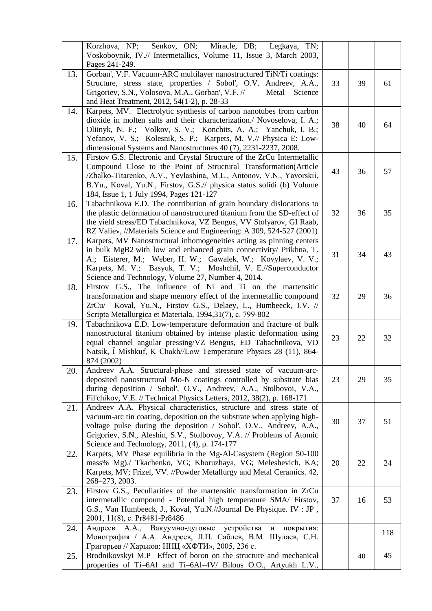|     | Korzhova, NP; Senkov, ON; Miracle, DB; Legkaya, TN;<br>Voskoboynik, IV.// Intermetallics, Volume 11, Issue 3, March 2003,<br>Pages 241-249.                                                                                                                                                                                                               |    |    |     |
|-----|-----------------------------------------------------------------------------------------------------------------------------------------------------------------------------------------------------------------------------------------------------------------------------------------------------------------------------------------------------------|----|----|-----|
| 13. | Gorban', V.F. Vacuum-ARC multilayer nanostructured TiN/Ti coatings:<br>Structure, stress state, properties / Sobol', O.V. Andreev, A.A.,<br>Grigoriev, S.N., Volosova, M.A., Gorban', V.F. //<br>Science<br>Metal<br>and Heat Treatment, 2012, 54(1-2), p. 28-33                                                                                          | 33 | 39 | 61  |
| 14. | Karpets, MV. Electrolytic synthesis of carbon nanotubes from carbon<br>dioxide in molten salts and their characterization./ Novoselova, I. A.;<br>Oliinyk, N. F.; Volkov, S. V.; Konchits, A. A.; Yanchuk, I. B.;<br>Yefanov, V. S.; Kolesnik, S. P.; Karpets, M. V.// Physica E: Low-<br>dimensional Systems and Nanostructures 40 (7), 2231-2237, 2008. | 38 | 40 | 64  |
| 15. | Firstov G.S. Electronic and Crystal Structure of the ZrCu Intermetallic<br>Compound Close to the Point of Structural Transformation(Article<br>/Zhalko-Titarenko, A.V., Yevlashina, M.L., Antonov, V.N., Yavorskii,<br>B.Yu., Koval, Yu.N., Firstov, G.S.// physica status solidi (b) Volume<br>184, Issue 1, 1 July 1994, Pages 121-127                  | 43 | 36 | 57  |
| 16. | Tabachnikova E.D. The contribution of grain boundary dislocations to<br>the plastic deformation of nanostructured titanium from the SD-effect of<br>the yield stress/ED Tabachnikova, VZ Bengus, VV Stolyarov, GI Raab,<br>RZ Valiev, //Materials Science and Engineering: A 309, 524-527 (2001)                                                          | 32 | 36 | 35  |
| 17. | Karpets, MV Nanostructural inhomogeneities acting as pinning centers<br>in bulk MgB2 with low and enhanced grain connectivity/ Prikhna, T.<br>A.; Eisterer, M.; Weber, H. W.; Gawalek, W.; Kovylaev, V. V.;<br>Karpets, M. V.; Basyuk, T. V.; Moshchil, V. E.//Superconductor<br>Science and Technology, Volume 27, Number 4, 2014.                       | 31 | 34 | 43  |
| 18. | Firstov G.S., The influence of Ni and Ti on the martensitic<br>transformation and shape memory effect of the intermetallic compound<br>ZrCu/ Koval, Yu.N., Firstov G.S., Delaey, L., Humbeeck, J.V. //<br>Scripta Metallurgica et Materiala, 1994,31(7), c. 799-802                                                                                       | 32 | 29 | 36  |
| 19. | Tabachnikova E.D. Low-temperature deformation and fracture of bulk<br>nanostructural titanium obtained by intense plastic deformation using<br>equal channel angular pressing/VZ Bengus, ED Tabachnikova, VD<br>Natsik, Ĭ Mishkuf, K Chakh//Low Temperature Physics 28 (11), 864-<br>874 (2002)                                                           | 23 | 22 | 32  |
| 20. | Andreev A.A. Structural-phase and stressed state of vacuum-arc-<br>deposited nanostructural Mo-N coatings controlled by substrate bias<br>during deposition / Sobol', O.V., Andreev, A.A., Stolbovoi, V.A.,<br>Fil'chikov, V.E. // Technical Physics Letters, 2012, 38(2), p. 168-171                                                                     | 23 | 29 | 35  |
| 21. | Andreev A.A. Physical characteristics, structure and stress state of<br>vacuum-arc tin coating, deposition on the substrate when applying high-<br>voltage pulse during the deposition / Sobol', O.V., Andreev, A.A.,<br>Grigoriev, S.N., Aleshin, S.V., Stolbovoy, V.A. // Problems of Atomic<br>Science and Technology, 2011, (4), p. 174-177           | 30 | 37 | 51  |
| 22. | Karpets, MV Phase equilibria in the Mg-Al-Casystem (Region 50-100<br>mass% Mg)./ Tkachenko, VG; Khoruzhaya, VG; Meleshevich, KA;<br>Karpets, MV; Frizel, VV. //Powder Metallurgy and Metal Ceramics. 42,<br>268-273, 2003.                                                                                                                                | 20 | 22 | 24  |
| 23. | Firstov G.S., Peculiarities of the martensitic transformation in ZrCu<br>intermetallic compound - Potential high temperature SMA/ Firstov,<br>G.S., Van Humbeeck, J., Koval, Yu.N.//Journal De Physique. IV : JP,<br>2001, 11(8), c. Pr8481-Pr8486                                                                                                        | 37 | 16 | 53  |
| 24. | Андреев А.А., Вакуумно-дуговые<br>устройства<br>покрытия:<br>И<br>Монография / А.А. Андреев, Л.П. Саблев, В.М. Шулаев, С.Н.<br>Григорьев // Харьков: ННЦ «ХФТИ», 2005, 236 с.                                                                                                                                                                             |    |    | 118 |
| 25. | Brodnikovskyi M.P Effect of boron on the structure and mechanical<br>properties of Ti-6Al and Ti-6Al-4V/ Bilous O.O., Artyukh L.V.,                                                                                                                                                                                                                       |    | 40 | 45  |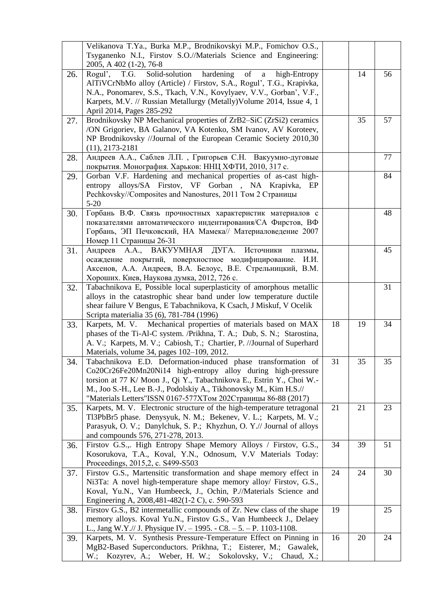|     | Velikanova T.Ya., Burka M.P., Brodnikovskyi M.P., Fomichov O.S.,<br>Tsyganenko N.I., Firstov S.O.//Materials Science and Engineering:<br>2005, A 402 (1-2), 76-8                                                                                                                                                                              |    |    |    |
|-----|-----------------------------------------------------------------------------------------------------------------------------------------------------------------------------------------------------------------------------------------------------------------------------------------------------------------------------------------------|----|----|----|
| 26. | Solid-solution hardening<br>of<br>Rogul', T.G.<br>high-Entropy<br>$\mathbf{a}$<br>AlTiVCrNbMo alloy (Article) / Firstov, S.A., Rogul', T.G., Krapivka,<br>N.A., Ponomarev, S.S., Tkach, V.N., Kovylyaev, V.V., Gorban', V.F.,<br>Karpets, M.V. // Russian Metallurgy (Metally) Volume 2014, Issue 4, 1<br>April 2014, Pages 285-292           |    | 14 | 56 |
| 27. | Brodnikovsky NP Mechanical properties of ZrB2-SiC (ZrSi2) ceramics<br>/ON Grigoriev, BA Galanov, VA Kotenko, SM Ivanov, AV Koroteev,<br>NP Brodnikovsky //Journal of the European Ceramic Society 2010,30<br>$(11), 2173 - 2181$                                                                                                              |    | 35 | 57 |
| 28. | Андреев А.А., Саблев Л.П., Григорьев С.Н. Вакуумно-дуговые<br>покрытия. Монография. Харьков: ННЦ ХФТИ, 2010, 317 с.                                                                                                                                                                                                                           |    |    | 77 |
| 29. | Gorban V.F. Hardening and mechanical properties of as-cast high-<br>alloys/SA Firstov, VF Gorban , NA Krapivka, EP<br>entropy<br>Pechkovsky//Composites and Nanostures, 2011 Том 2 Страницы<br>$5-20$                                                                                                                                         |    |    | 84 |
| 30. | Горбань В.Ф. Связь прочностных характеристик материалов с<br>показателями автоматического индентирования/СА Фирстов, ВФ<br>Горбань, ЭП Печковский, НА Мамека// Материаловедение 2007<br>Номер 11 Страницы 26-31                                                                                                                               |    |    | 48 |
| 31. | Андреев А.А., ВАКУУМНАЯ ДУГА. Источники<br>плазмы,<br>осаждение покрытий, поверхностное модифицирование.<br>И.И.<br>Аксенов, А.А. Андреев, В.А. Белоус, В.Е. Стрельницкий, В.М.<br>Хороших. Киев, Наукова думка, 2012, 726 с.                                                                                                                 |    |    | 45 |
| 32. | Tabachnikova E, Possible local superplasticity of amorphous metallic<br>alloys in the catastrophic shear band under low temperature ductile<br>shear failure V Bengus, E Tabachnikova, K Csach, J Miskuf, V Ocelik<br>Scripta materialia 35 (6), 781-784 (1996)                                                                               |    |    | 31 |
| 33. | Karpets, M. V. Mechanical properties of materials based on MAX<br>phases of the Ti-Al-C system. /Prikhna, T. A.; Dub, S. N.; Starostina,<br>A. V.; Karpets, M. V.; Cabiosh, T.; Chartier, P. //Journal of Superhard<br>Materials, volume 34, pages 102-109, 2012.                                                                             | 18 | 19 | 34 |
| 34. | Tabachnikova E.D. Deformation-induced phase transformation of<br>Co20Cr26Fe20Mn20Ni14 high-entropy alloy during high-pressure<br>torsion at 77 K/ Moon J., Qi Y., Tabachnikova E., Estrin Y., Choi W.-<br>M., Joo S.-H., Lee B.-J., Podolskiy A., Tikhonovsky M., Kim H.S.//<br>"Materials Letters"ISSN 0167-577ХТом 202Страницы 86-88 (2017) | 31 | 35 | 35 |
| 35. | Karpets, M. V. Electronic structure of the high-temperature tetragonal<br>Tl3PbBr5 phase. Denysyuk, N. M.; Bekenev, V. L.; Karpets, M. V.;<br>Parasyuk, O. V.; Danylchuk, S. P.; Khyzhun, O. Y.// Journal of alloys<br>and compounds 576, 271-278, 2013.                                                                                      | 21 | 21 | 23 |
| 36. | Firstov G.S.,. High Entropy Shape Memory Alloys / Firstov, G.S.,<br>Kosorukova, T.A., Koval, Y.N., Odnosum, V.V Materials Today:<br>Proceedings, 2015, 2, c. S499-S503                                                                                                                                                                        | 34 | 39 | 51 |
| 37. | Firstov G.S., Martensitic transformation and shape memory effect in<br>Ni3Ta: A novel high-temperature shape memory alloy/ Firstov, G.S.,<br>Koval, Yu.N., Van Humbeeck, J., Ochin, P.//Materials Science and<br>Engineering A, 2008,481-482(1-2 C), c. 590-593                                                                               | 24 | 24 | 30 |
| 38. | Firstov G.S., B2 intermetallic compounds of Zr. New class of the shape<br>memory alloys. Koval Yu.N., Firstov G.S., Van Humbeeck J., Delaey<br>L., Jang W.Y.// J. Physique IV. - 1995. - C8. - 5. - P. 1103-1108.                                                                                                                             | 19 |    | 25 |
| 39. | Karpets, M. V. Synthesis Pressure-Temperature Effect on Pinning in<br>MgB2-Based Superconductors. Prikhna, T.; Eisterer, M.; Gawalek,<br>W.; Kozyrev, A.; Weber, H. W.; Sokolovsky, V.; Chaud, X.;                                                                                                                                            | 16 | 20 | 24 |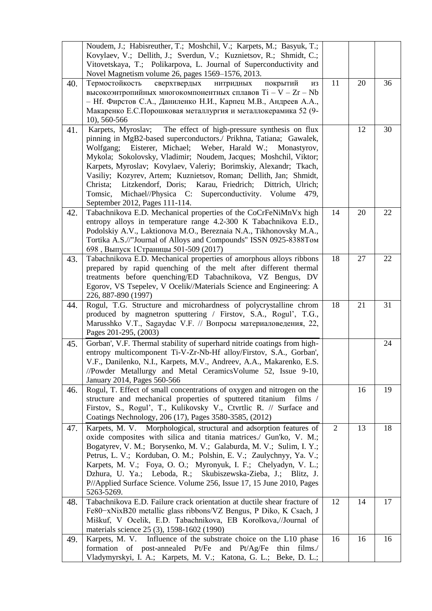|     | Noudem, J.; Habisreuther, T.; Moshchil, V.; Karpets, M.; Basyuk, T.;<br>Kovylaev, V.; Dellith, J.; Sverdun, V.; Kuznietsov, R.; Shmidt, C.;<br>Vitovetskaya, T.; Polikarpova, L. Journal of Superconductivity and<br>Novel Magnetism volume 26, pages 1569–1576, 2013.                                                                                                                                                                                                                                                                                                                             |                |    |    |
|-----|----------------------------------------------------------------------------------------------------------------------------------------------------------------------------------------------------------------------------------------------------------------------------------------------------------------------------------------------------------------------------------------------------------------------------------------------------------------------------------------------------------------------------------------------------------------------------------------------------|----------------|----|----|
| 40. | Термостойкость<br>покрытий<br>сверхтвердых<br>НИТРИДНЫХ<br>ИЗ<br>высокоэнтропийных многокомпонентных сплавов Ti - V - Zr - Nb<br>- Нf. Фирстов С.А., Даниленко Н.И., Карпец М.В., Андреев А.А.,<br>Макаренко Е.С.Порошковая металлургия и металлокерамика 52 (9-<br>10), 560-566                                                                                                                                                                                                                                                                                                                   | 11             | 20 | 36 |
| 41. | The effect of high-pressure synthesis on flux<br>Karpets, Myroslav;<br>pinning in MgB2-based superconductors./ Prikhna, Tatiana; Gawalek,<br>Wolfgang; Eisterer, Michael; Weber, Harald W.; Monastyrov,<br>Mykola; Sokolovsky, Vladimir; Noudem, Jacques; Moshchil, Viktor;<br>Karpets, Myroslav; Kovylaev, Valeriy; Borimskiy, Alexandr; Tkach,<br>Vasiliy; Kozyrev, Artem; Kuznietsov, Roman; Dellith, Jan; Shmidt,<br>Litzkendorf, Doris; Karau, Friedrich; Dittrich, Ulrich;<br>Christa;<br>Michael//Physica C: Superconductivity. Volume<br>Tomsic,<br>479,<br>September 2012, Pages 111-114. |                | 12 | 30 |
| 42. | Tabachnikova E.D. Mechanical properties of the CoCrFeNiMnVx high<br>entropy alloys in temperature range 4.2-300 K Tabachnikova E.D.,<br>Podolskiy A.V., Laktionova M.O., Bereznaia N.A., Tikhonovsky M.A.,<br>Tortika A.S.//"Journal of Alloys and Compounds" ISSN 0925-8388Tom<br>698, Выпуск 1Страницы 501-509 (2017)                                                                                                                                                                                                                                                                            | 14             | 20 | 22 |
| 43. | Tabachnikova E.D. Mechanical properties of amorphous alloys ribbons<br>prepared by rapid quenching of the melt after different thermal<br>treatments before quenching/ED Tabachnikova, VZ Bengus, DV<br>Egorov, VS Tsepelev, V Ocelik//Materials Science and Engineering: A<br>226, 887-890 (1997)                                                                                                                                                                                                                                                                                                 | 18             | 27 | 22 |
| 44. | Rogul, T.G. Structure and microhardness of polycrystalline chrom<br>produced by magnetron sputtering / Firstov, S.A., Rogul', T.G.,<br>Marusshko V.T., Sagaydac V.F. // Вопросы материаловедения, 22,<br>Pages 201-295, (2003)                                                                                                                                                                                                                                                                                                                                                                     | 18             | 21 | 31 |
| 45. | Gorban', V.F. Thermal stability of superhard nitride coatings from high-<br>entropy multicomponent Ti-V-Zr-Nb-Hf alloy/Firstov, S.A., Gorban',<br>V.F., Danilenko, N.I., Karpets, M.V., Andreev, A.A., Makarenko, E.S.<br>//Powder Metallurgy and Metal Ceramics Volume 52, Issue 9-10,<br>January 2014, Pages 560-566                                                                                                                                                                                                                                                                             |                |    | 24 |
| 46. | Rogul, T. Effect of small concentrations of oxygen and nitrogen on the<br>structure and mechanical properties of sputtered titanium films /<br>Firstov, S., Rogul', T., Kulikovsky V., Ctvrtlic R. // Surface and<br>Coatings Nechnology, 206 (17), Pages 3580-3585, (2012)                                                                                                                                                                                                                                                                                                                        |                | 16 | 19 |
| 47. | Karpets, M. V. Morphological, structural and adsorption features of<br>oxide composites with silica and titania matrices./ Gun'ko, V. M.;<br>Bogatyrev, V. M.; Borysenko, M. V.; Galaburda, M. V.; Sulim, I. Y.;<br>Petrus, L. V.; Korduban, O. M.; Polshin, E. V.; Zaulychnyy, Ya. V.;<br>Karpets, M. V.; Foya, O. O.; Myronyuk, I. F.; Chelyadyn, V. L.;<br>Dzhura, U. Ya.; Leboda, R.; Skubiszewska-Zieba, J.; Blitz, J.<br>P//Applied Surface Science. Volume 256, Issue 17, 15 June 2010, Pages<br>5263-5269.                                                                                 | $\overline{2}$ | 13 | 18 |
| 48. | Tabachnikova E.D. Failure crack orientation at ductile shear fracture of<br>Fe80-xNixB20 metallic glass ribbons/VZ Bengus, P Diko, K Csach, J<br>Miškuf, V Ocelik, E.D. Tabachnikova, EB Korolkova,//Journal of<br>materials science 25 (3), 1598-1602 (1990)                                                                                                                                                                                                                                                                                                                                      | 12             | 14 | 17 |
| 49. | Karpets, M. V. Influence of the substrate choice on the L10 phase<br>formation of post-annealed Pt/Fe and Pt/Ag/Fe thin films./<br>Vladymyrskyi, I. A.; Karpets, M. V.; Katona, G. L.; Beke, D. L.;                                                                                                                                                                                                                                                                                                                                                                                                | 16             | 16 | 16 |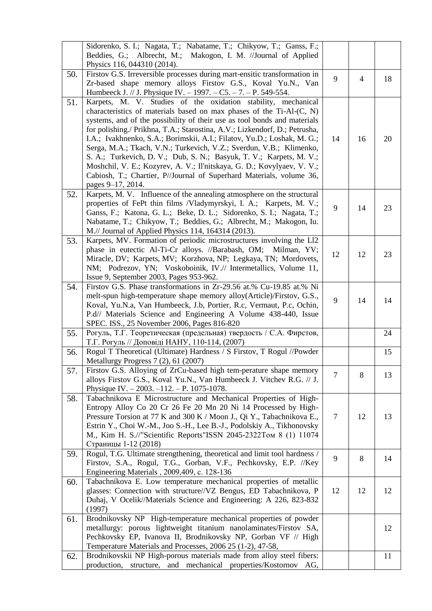|     | Sidorenko, S. I.; Nagata, T.; Nabatame, T.; Chikyow, T.; Ganss, F.;<br>Beddies, G.; Albrecht, M.; Makogon, I. M. //Journal of Applied<br>Physics 116, 044310 (2014).                                                                                                                                                                                                                                                                                                                                                                                                                                                                                                                            |                |    |    |
|-----|-------------------------------------------------------------------------------------------------------------------------------------------------------------------------------------------------------------------------------------------------------------------------------------------------------------------------------------------------------------------------------------------------------------------------------------------------------------------------------------------------------------------------------------------------------------------------------------------------------------------------------------------------------------------------------------------------|----------------|----|----|
| 50. | Firstov G.S. Irreversible processes during mart-ensitic transformation in<br>Zr-based shape memory alloys Firstov G.S., Koval Yu.N., Van<br>Humbeeck J. // J. Physique IV. - 1997. - C5. - 7. - P. 549-554.                                                                                                                                                                                                                                                                                                                                                                                                                                                                                     | 9              | 4  | 18 |
| 51. | Karpets, M. V. Studies of the oxidation stability, mechanical<br>characteristics of materials based on max phases of the Ti-Al-(C, N)<br>systems, and of the possibility of their use as tool bonds and materials<br>for polishing./ Prikhna, T.A.; Starostina, A.V.; Lizkendorf, D.; Petrusha,<br>I.A.; Ivakhnenko, S.A.; Borimskii, A.I.; Filatov, Yu.D.; Loshak, M. G.;<br>Serga, M.A.; Tkach, V.N.; Turkevich, V.Z.; Sverdun, V.B.; Klimenko,<br>S. A.; Turkevich, D. V.; Dub, S. N.; Basyuk, T. V.; Karpets, M. V.;<br>Moshchil, V. E.; Kozyrev, A. V.; Il'nitskaya, G. D.; Kovylyaev, V. V.;<br>Cabiosh, T.; Chartier, P//Journal of Superhard Materials, volume 36,<br>pages 9–17, 2014. | 14             | 16 | 20 |
| 52. | Karpets, M. V. Influence of the annealing atmosphere on the structural<br>properties of FePt thin films /Vladymyrskyi, I. A.; Karpets, M. V.;<br>Ganss, F.; Katona, G. L.; Beke, D. L.; Sidorenko, S. I.; Nagata, T.;<br>Nabatame, T.; Chikyow, T.; Beddies, G.; Albrecht, M.; Makogon, Iu.<br>M.// Journal of Applied Physics 114, 164314 (2013).                                                                                                                                                                                                                                                                                                                                              | 9              | 14 | 23 |
| 53. | Karpets, MV. Formation of periodic microstructures involving the L12<br>phase in eutectic Al-Ti-Cr alloys. //Barabash, OM; Milman, YV;<br>Miracle, DV; Karpets, MV; Korzhova, NP; Legkaya, TN; Mordovets,<br>NM; Podrezov, YN; Voskoboinik, IV.// Intermetallics, Volume 11,<br>Issue 9, September 2003, Pages 953-962.                                                                                                                                                                                                                                                                                                                                                                         | 12             | 12 | 23 |
| 54. | Firstov G.S. Phase transformations in Zr-29.56 at.% Cu-19.85 at.% Ni<br>melt-spun high-temperature shape memory alloy(Article)/Firstov, G.S.,<br>Koval, Yu.N.a, Van Humbeeck, J.b, Portier, R.c, Vermaut, P.c, Ochin,<br>P.d// Materials Science and Engineering A Volume 438-440, Issue<br>SPEC. ISS., 25 November 2006, Pages 816-820                                                                                                                                                                                                                                                                                                                                                         | 9              | 14 | 14 |
| 55. | Рогуль, Т.Г. Теоретическая (предельная) твердость / С.А. Фирстов,<br>Т.Г. Рогуль // Доповіді НАНУ, 110-114, (2007)                                                                                                                                                                                                                                                                                                                                                                                                                                                                                                                                                                              |                |    | 24 |
| 56. | Rogul T Theoretical (Ultimate) Hardness / S Firstov, T Rogul //Powder<br>Metallurgy Progress 7 (2), 61 (2007)                                                                                                                                                                                                                                                                                                                                                                                                                                                                                                                                                                                   |                |    | 15 |
| 57. | Firstov G.S. Alloying of ZrCu-based high tem-perature shape memory<br>alloys Firstov G.S., Koval Yu.N., Van Humbeeck J. Vitchev R.G. // J.<br>Physique IV. $-2003$ . $-112$ . $-$ P. 1075-1078.                                                                                                                                                                                                                                                                                                                                                                                                                                                                                                 | $\overline{7}$ | 8  | 13 |
| 58. | Tabachnikova E Microstructure and Mechanical Properties of High-<br>Entropy Alloy Co 20 Cr 26 Fe 20 Mn 20 Ni 14 Processed by High-<br>Pressure Torsion at 77 K and 300 K / Moon J., Qi Y., Tabachnikova E.,<br>Estrin Y., Choi W.-M., Joo S.-H., Lee B.-J., Podolskiy A., Tikhonovsky<br>М., Kim H. S.//"Scientific Reports"ISSN 2045-2322Том 8 (1) 11074<br>Страницы 1-12 (2018)                                                                                                                                                                                                                                                                                                               | 7              | 12 | 13 |
| 59. | Rogul, T.G. Ultimate strengthening, theoretical and limit tool hardness /<br>Firstov, S.A., Rogul, T.G., Gorban, V.F., Pechkovsky, E.P. //Key<br>Engineering Materials, 2009, 409, c. 128-136                                                                                                                                                                                                                                                                                                                                                                                                                                                                                                   | 9              | 8  | 14 |
| 60. | Tabachnikova E. Low temperature mechanical properties of metallic<br>glasses: Connection with structure//VZ Bengus, ED Tabachnikova, P<br>Duhaj, V Ocelik//Materials Science and Engineering: A 226, 823-832<br>(1997)                                                                                                                                                                                                                                                                                                                                                                                                                                                                          | 12             | 12 | 12 |
| 61. | Brodnikovsky NP High-temperature mechanical properties of powder<br>metallurgy: porous lightweight titanium nanolaminates/Firstov SA,<br>Pechkovsky EP, Ivanova II, Brodnikovsky NP, Gorban VF // High<br>Temperature Materials and Processes, 2006 25 (1-2), 47-58,                                                                                                                                                                                                                                                                                                                                                                                                                            |                |    | 12 |
| 62. | Brodnikovskii NP High-porous materials made from alloy steel fibers:<br>production, structure, and mechanical properties/Kostornov AG,                                                                                                                                                                                                                                                                                                                                                                                                                                                                                                                                                          |                |    | 11 |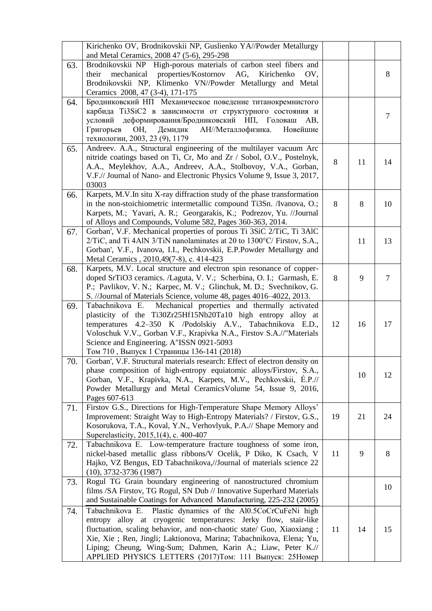|     | Kirichenko OV, Brodnikovskii NP, Guslienko YA//Powder Metallurgy<br>and Metal Ceramics, 2008 47 (5-6), 295-298                                                                                                                                                                                                                                                                                                |    |    |                |
|-----|---------------------------------------------------------------------------------------------------------------------------------------------------------------------------------------------------------------------------------------------------------------------------------------------------------------------------------------------------------------------------------------------------------------|----|----|----------------|
| 63. | Brodnikovskii NP High-porous materials of carbon steel fibers and<br>mechanical properties/Kostornov AG,<br>their<br>Kirichenko<br>OV,<br>Brodnikovskii NP, Klimenko VN//Powder Metallurgy and Metal<br>Ceramics 2008, 47 (3-4), 171-175                                                                                                                                                                      |    |    | 8              |
| 64. | Бродниковский НП Механическое поведение титанокремнистого<br>карбида Ti3SiC2 в зависимости от структурного состояния и<br>условий деформирования/Бродниковский НП, Головаш<br>AB,<br>OH,<br>Демидик<br>АН//Металлофизика.<br>Новейшие<br>Григорьев<br>технологии, 2003, 23 (9), 1179                                                                                                                          |    |    | $\overline{7}$ |
| 65. | Andreev. A.A., Structural engineering of the multilayer vacuum Arc<br>nitride coatings based on Ti, Cr, Mo and Zr / Sobol, O.V., Postelnyk,<br>A.A., Meylekhov, A.A., Andreev, A.A., Stolbovoy, V.A., Gorban,<br>V.F.// Journal of Nano- and Electronic Physics Volume 9, Issue 3, 2017,<br>03003                                                                                                             | 8  | 11 | 14             |
| 66. | Karpets, M.V.In situ X-ray diffraction study of the phase transformation<br>in the non-stoichiometric intermetallic compound Ti3Sn. /Ivanova, O.;<br>Karpets, M.; Yavari, A. R.; Georgarakis, K.; Podrezov, Yu. //Journal<br>of Alloys and Compounds, Volume 582, Pages 360-363, 2014.                                                                                                                        | 8  | 8  | 10             |
| 67. | Gorban', V.F. Mechanical properties of porous Ti 3SiC 2/TiC, Ti 3AlC<br>2/TiC, and Ti 4AlN 3/TiN nanolaminates at 20 to 1300°C/ Firstov, S.A.,<br>Gorban', V.F., Ivanova, I.I., Pechkovskii, E.P.Powder Metallurgy and<br>Metal Ceramics, 2010, 49(7-8), c. 414-423                                                                                                                                           |    | 11 | 13             |
| 68. | Karpets, M.V. Local structure and electron spin resonance of copper-<br>doped SrTiO3 ceramics. /Laguta, V. V.; Scherbina, O. I.; Garmash, E.<br>P.; Pavlikov, V. N.; Karpec, M. V.; Glinchuk, M. D.; Svechnikov, G.<br>S. //Journal of Materials Science, volume 48, pages 4016-4022, 2013.                                                                                                                   | 8  | 9  | $\tau$         |
| 69. | Mechanical properties and thermally activated<br>Tabachnikova E.<br>plasticity of the Ti30Zr25Hf15Nb20Ta10 high entropy alloy at<br>temperatures 4.2-350 K /Podolskiy A.V., Tabachnikova E.D.,<br>Voloschuk V.V., Gorban V.F., Krapivka N.A., Firstov S.A.//"Materials<br>Science and Engineering. A"ISSN 0921-5093<br>Том 710, Выпуск 1 Страницы 136-141 (2018)                                              | 12 | 16 | 17             |
| 70. | Gorban', V.F. Structural materials research: Effect of electron density on<br>phase composition of high-entropy equiatomic alloys/Firstov, S.A.,<br>Gorban, V.F., Krapivka, N.A., Karpets, M.V., Pechkovskii, É.P.//<br>Powder Metallurgy and Metal CeramicsVolume 54, Issue 9, 2016,<br>Pages 607-613                                                                                                        |    | 10 | 12             |
| 71. | Firstov G.S., Directions for High-Temperature Shape Memory Alloys'<br>Improvement: Straight Way to High-Entropy Materials? / Firstov, G.S.,<br>Kosorukova, T.A., Koval, Y.N., Verhovlyuk, P.A.// Shape Memory and<br>Superelasticity, 2015,1(4), c. 400-407                                                                                                                                                   | 19 | 21 | 24             |
| 72. | Tabachnikova E. Low-temperature fracture toughness of some iron,<br>nickel-based metallic glass ribbons/V Ocelik, P Diko, K Csach, V<br>Hajko, VZ Bengus, ED Tabachnikova,//Journal of materials science 22<br>$(10), 3732-3736(1987)$                                                                                                                                                                        | 11 | 9  | 8              |
| 73. | Rogul TG Grain boundary engineering of nanostructured chromium<br>films /SA Firstov, TG Rogul, SN Dub // Innovative Superhard Materials<br>and Sustainable Coatings for Advanced Manufacturing, 225-232 (2005)                                                                                                                                                                                                |    |    | 10             |
| 74. | Plastic dynamics of the Al0.5CoCrCuFeNi high<br>Tabachnikova E.<br>entropy alloy at cryogenic temperatures: Jerky flow, stair-like<br>fluctuation, scaling behavior, and non-chaotic state/ Guo, Xiaoxiang;<br>Xie, Xie ; Ren, Jingli; Laktionova, Marina; Tabachnikova, Elena; Yu,<br>Liping; Cheung, Wing-Sum; Dahmen, Karin A.; Liaw, Peter K.//<br>APPLIED PHYSICS LETTERS (2017)Том: 111 Выпуск: 25Номер | 11 | 14 | 15             |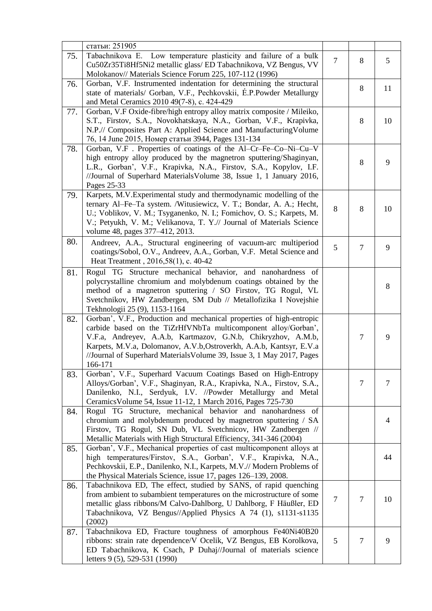|     | статьи: 251905                                                                                                                                                                                                                                                                                                                                                     |                |                |    |
|-----|--------------------------------------------------------------------------------------------------------------------------------------------------------------------------------------------------------------------------------------------------------------------------------------------------------------------------------------------------------------------|----------------|----------------|----|
| 75. | Tabachnikova E. Low temperature plasticity and failure of a bulk<br>Cu50Zr35Ti8Hf5Ni2 metallic glass/ED Tabachnikova, VZ Bengus, VV<br>Molokanov// Materials Science Forum 225, 107-112 (1996)                                                                                                                                                                     | $\overline{7}$ | 8              | 5  |
| 76. | Gorban, V.F. Instrumented indentation for determining the structural<br>state of materials/ Gorban, V.F., Pechkovskii, E.P.Powder Metallurgy<br>and Metal Ceramics 2010 49(7-8), c. 424-429                                                                                                                                                                        |                | $8\,$          | 11 |
| 77. | Gorban, V.F Oxide-fibre/high entropy alloy matrix composite / Mileiko,<br>S.T., Firstov, S.A., Novokhatskaya, N.A., Gorban, V.F., Krapivka,<br>N.P.// Composites Part A: Applied Science and Manufacturing Volume<br>76, 14 June 2015, Номер статьи 3944, Pages 131-134                                                                                            |                | 8              | 10 |
| 78. | Gorban, V.F. Properties of coatings of the Al-Cr-Fe-Co-Ni-Cu-V<br>high entropy alloy produced by the magnetron sputtering/Shaginyan,<br>L.R., Gorban', V.F., Krapivka, N.A., Firstov, S.A., Kopylov, I.F.<br>//Journal of Superhard Materials Volume 38, Issue 1, 1 January 2016,<br>Pages 25-33                                                                   |                | 8              | 9  |
| 79. | Karpets, M.V. Experimental study and thermodynamic modelling of the<br>ternary Al-Fe-Ta system. /Witusiewicz, V. T.; Bondar, A. A.; Hecht,<br>U.; Voblikov, V. M.; Tsyganenko, N. I.; Fomichov, O. S.; Karpets, M.<br>V.; Petyukh, V. M.; Velikanova, T. Y.// Journal of Materials Science<br>volume 48, pages 377–412, 2013.                                      | 8              | 8              | 10 |
| 80. | Andreev, A.A., Structural engineering of vacuum-arc multiperiod<br>coatings/Sobol, O.V., Andreev, A.A., Gorban, V.F. Metal Science and<br>Heat Treatment, 2016,58(1), c. 40-42                                                                                                                                                                                     | 5              | $\overline{7}$ | 9  |
| 81. | Rogul TG Structure mechanical behavior, and nanohardness of<br>polycrystalline chromium and molybdenum coatings obtained by the<br>method of a magnetron sputtering / SO Firstov, TG Rogul, VL<br>Svetchnikov, HW Zandbergen, SM Dub // Metallofizika I Novejshie<br>Tekhnologii 25 (9), 1153-1164                                                                 |                |                | 8  |
| 82. | Gorban', V.F., Production and mechanical properties of high-entropic<br>carbide based on the TiZrHfVNbTa multicomponent alloy/Gorban',<br>V.F.a, Andreyev, A.A.b, Kartmazov, G.N.b, Chikryzhov, A.M.b,<br>Karpets, M.V.a, Dolomanov, A.V.b, Ostroverkh, A.A.b, Kantsyr, E.V.a<br>//Journal of Superhard Materials Volume 39, Issue 3, 1 May 2017, Pages<br>166-171 |                | 7              | 9  |
| 83. | Gorban', V.F., Superhard Vacuum Coatings Based on High-Entropy<br>Alloys/Gorban', V.F., Shaginyan, R.A., Krapivka, N.A., Firstov, S.A.,<br>Danilenko, N.I., Serdyuk, I.V. //Powder Metallurgy and Metal<br>Ceramics Volume 54, Issue 11-12, 1 March 2016, Pages 725-730                                                                                            |                | $\overline{7}$ | 7  |
| 84. | Rogul TG Structure, mechanical behavior and nanohardness of<br>chromium and molybdenum produced by magnetron sputtering / SA<br>Firstov, TG Rogul, SN Dub, VL Svetchnicov, HW Zandbergen //<br>Metallic Materials with High Structural Efficiency, 341-346 (2004)                                                                                                  |                |                | 4  |
| 85. | Gorban', V.F., Mechanical properties of cast multicomponent alloys at<br>high temperatures/Firstov, S.A., Gorban', V.F., Krapivka, N.A.,<br>Pechkovskii, E.P., Danilenko, N.I., Karpets, M.V.// Modern Problems of<br>the Physical Materials Science, issue 17, pages 126–139, 2008.                                                                               |                |                | 44 |
| 86. | Tabachnikova ED, The effect, studied by SANS, of rapid quenching<br>from ambient to subambient temperatures on the microstructure of some<br>metallic glass ribbons/M Calvo-Dahlborg, U Dahlborg, F Häußler, ED<br>Tabachnikova, VZ Bengus//Applied Physics A 74 (1), s1131-s1135<br>(2002)                                                                        | $\overline{7}$ | 7              | 10 |
| 87. | Tabachnikova ED, Fracture toughness of amorphous Fe40Ni40B20<br>ribbons: strain rate dependence/V Ocelik, VZ Bengus, EB Korolkova,<br>ED Tabachnikova, K Csach, P Duhaj//Journal of materials science<br>letters 9 (5), 529-531 (1990)                                                                                                                             | 5              | 7              | 9  |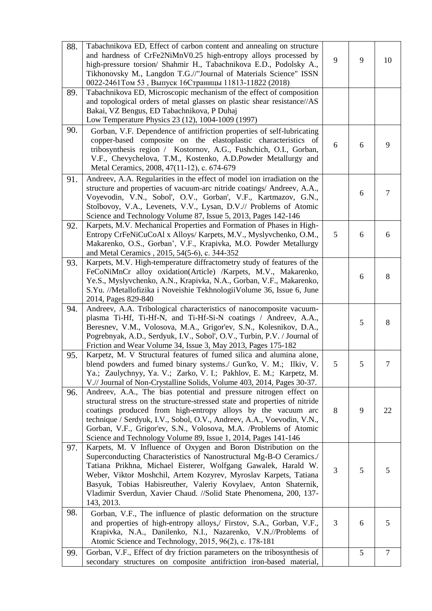| 88. | Tabachnikova ED, Effect of carbon content and annealing on structure<br>and hardness of CrFe2NiMnV0.25 high-entropy alloys processed by<br>high-pressure torsion/ Shahmir H., Tabachnikova E.D., Podolsky A.,<br>Tikhonovsky M., Langdon T.G.//"Journal of Materials Science" ISSN<br>0022-2461Том 53, Выпуск 16Страницы 11813-11822 (2018)                                                                                         | 9 | 9 | 10     |
|-----|-------------------------------------------------------------------------------------------------------------------------------------------------------------------------------------------------------------------------------------------------------------------------------------------------------------------------------------------------------------------------------------------------------------------------------------|---|---|--------|
| 89. | Tabachnikova ED, Microscopic mechanism of the effect of composition<br>and topological orders of metal glasses on plastic shear resistance//AS<br>Bakai, VZ Bengus, ED Tabachnikova, P Duhaj<br>Low Temperature Physics 23 (12), 1004-1009 (1997)                                                                                                                                                                                   |   |   |        |
| 90. | Gorban, V.F. Dependence of antifriction properties of self-lubricating<br>copper-based composite on the elastoplastic characteristics of<br>tribosynthesis region / Kostornov, A.G., Fushchich, O.I., Gorban,<br>V.F., Chevychelova, T.M., Kostenko, A.D.Powder Metallurgy and<br>Metal Ceramics, 2008, 47(11-12), c. 674-679                                                                                                       | 6 | 6 | 9      |
| 91. | Andreev, A.A. Regularities in the effect of model ion irradiation on the<br>structure and properties of vacuum-arc nitride coatings/ Andreev, A.A.,<br>Voyevodin, V.N., Sobol', O.V., Gorban', V.F., Kartmazov, G.N.,<br>Stolbovoy, V.A., Levenets, V.V., Lysan, D.V.// Problems of Atomic<br>Science and Technology Volume 87, Issue 5, 2013, Pages 142-146                                                                        |   | 6 | $\tau$ |
| 92. | Karpets, M.V. Mechanical Properties and Formation of Phases in High-<br>Entropy CrFeNiCuCoAl x Alloys/ Karpets, M.V., Myslyvchenko, O.M.,<br>Makarenko, O.S., Gorban', V.F., Krapivka, M.O. Powder Metallurgy<br>and Metal Ceramics, 2015, 54(5-6), c. 344-352                                                                                                                                                                      | 5 | 6 | 6      |
| 93. | Karpets, M.V. High-temperature diffractometry study of features of the<br>FeCoNiMnCr alloy oxidation(Article) /Karpets, M.V., Makarenko,<br>Ye.S., Myslyvchenko, A.N., Krapivka, N.A., Gorban, V.F., Makarenko,<br>S.Yu. //Metallofizika i Noveishie TekhnologiiVolume 36, Issue 6, June<br>2014, Pages 829-840                                                                                                                     |   | 6 | 8      |
| 94. | Andreev, A.A. Tribological characteristics of nanocomposite vacuum-<br>plasma Ti-Hf, Ti-Hf-N, and Ti-Hf-Si-N coatings / Andreev, A.A.,<br>Beresnev, V.M., Volosova, M.A., Grigor'ev, S.N., Kolesnikov, D.A.,<br>Pogrebnyak, A.D., Serdyuk, I.V., Sobol', O.V., Turbin, P.V. / Journal of<br>Friction and Wear Volume 34, Issue 3, May 2013, Pages 175-182                                                                           |   | 5 | 8      |
| 95. | Karpetz, M. V Structural features of fumed silica and alumina alone,<br>blend powders and fumed binary systems./ Gun'ko, V. M.; Ilkiv, V.<br>Ya.; Zaulychnyy, Ya. V.; Zarko, V. I.; Pakhlov, E. M.; Karpetz, M.<br>V.// Journal of Non-Crystalline Solids, Volume 403, 2014, Pages 30-37.                                                                                                                                           | 5 |   |        |
| 96. | Andreev, A.A., The bias potential and pressure nitrogen effect on<br>structural stress on the structure-stressed state and properties of nitride<br>coatings produced from high-entropy alloys by the vacuum arc<br>technique / Serdyuk, I.V., Sobol, O.V., Andreev, A.A., Voevodin, V.N.,<br>Gorban, V.F., Grigor'ev, S.N., Volosova, M.A. /Problems of Atomic<br>Science and Technology Volume 89, Issue 1, 2014, Pages 141-146   | 8 | 9 | 22     |
| 97. | Karpets, M. V Influence of Oxygen and Boron Distribution on the<br>Superconducting Characteristics of Nanostructural Mg-B-O Ceramics./<br>Tatiana Prikhna, Michael Eisterer, Wolfgang Gawalek, Harald W.<br>Weber, Viktor Moshchil, Artem Kozyrev, Myroslav Karpets, Tatiana<br>Basyuk, Tobias Habisreuther, Valeriy Kovylaev, Anton Shaternik,<br>Vladimir Sverdun, Xavier Chaud. //Solid State Phenomena, 200, 137-<br>143, 2013. | 3 | 5 | 5      |
| 98. | Gorban, V.F., The influence of plastic deformation on the structure<br>and properties of high-entropy alloys,/ Firstov, S.A., Gorban, V.F.,<br>Krapivka, N.A., Danilenko, N.I., Nazarenko, V.N.//Problems of<br>Atomic Science and Technology, 2015, 96(2), c. 178-181                                                                                                                                                              | 3 | 6 | 5      |
| 99. | Gorban, V.F., Effect of dry friction parameters on the tribosynthesis of<br>secondary structures on composite antifriction iron-based material,                                                                                                                                                                                                                                                                                     |   | 5 | $\tau$ |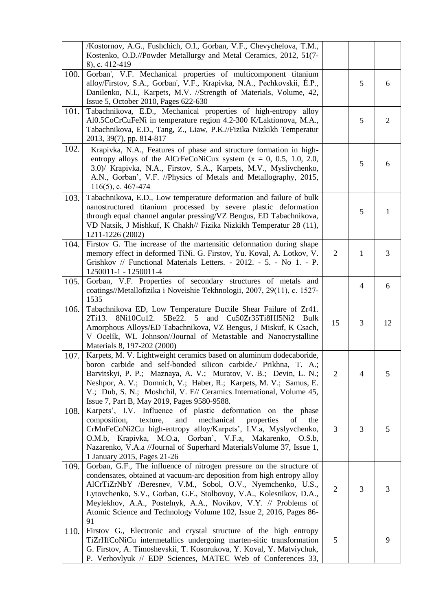|      | /Kostornov, A.G., Fushchich, O.I., Gorban, V.F., Chevychelova, T.M.,<br>Kostenko, O.D.//Powder Metallurgy and Metal Ceramics, 2012, 51(7-<br>8), c. 412-419                                                                                                                                                                                                                                                                        |                |                |                |
|------|------------------------------------------------------------------------------------------------------------------------------------------------------------------------------------------------------------------------------------------------------------------------------------------------------------------------------------------------------------------------------------------------------------------------------------|----------------|----------------|----------------|
| 100. | Gorban', V.F. Mechanical properties of multicomponent titanium<br>alloy/Firstov, S.A., Gorban', V.F., Krapivka, N.A., Pechkovskii, É.P.,<br>Danilenko, N.I., Karpets, M.V. //Strength of Materials, Volume, 42,<br>Issue 5, October 2010, Pages 622-630                                                                                                                                                                            |                | 5              | 6              |
| 101. | Tabachnikova, E.D., Mechanical properties of high-entropy alloy<br>Al0.5CoCrCuFeNi in temperature region 4.2-300 K/Laktionova, M.A.,<br>Tabachnikova, E.D., Tang, Z., Liaw, P.K.//Fizika Nizkikh Temperatur<br>2013, 39(7), pp. 814-817                                                                                                                                                                                            |                | 5              | $\overline{2}$ |
| 102. | Krapivka, N.A., Features of phase and structure formation in high-<br>entropy alloys of the AlCrFeCoNiCux system $(x = 0, 0.5, 1.0, 2.0,$<br>3.0)/ Krapivka, N.A., Firstov, S.A., Karpets, M.V., Myslivchenko,<br>A.N., Gorban', V.F. //Physics of Metals and Metallography, 2015,<br>$116(5)$ , c. 467-474                                                                                                                        |                | 5              | 6              |
| 103. | Tabachnikova, E.D., Low temperature deformation and failure of bulk<br>nanostructured titanium processed by severe plastic deformation<br>through equal channel angular pressing/VZ Bengus, ED Tabachnikova,<br>VD Natsik, J Mishkuf, K Chakh// Fizika Nizkikh Temperatur 28 (11),<br>1211-1226 (2002)                                                                                                                             |                | 5              | $\mathbf{1}$   |
| 104. | Firstov G. The increase of the martensitic deformation during shape<br>memory effect in deformed TiNi. G. Firstov, Yu. Koval, A. Lotkov, V.<br>Grishkov // Functional Materials Letters. - 2012. - 5. - No 1. - P.<br>1250011-1 - 1250011-4                                                                                                                                                                                        | $\overline{2}$ | $\mathbf{1}$   | 3              |
| 105. | Gorban, V.F. Properties of secondary structures of metals and<br>coatings//Metallofizika i Noveishie Tekhnologii, 2007, 29(11), c. 1527-<br>1535                                                                                                                                                                                                                                                                                   |                | $\overline{4}$ | 6              |
| 106. | Tabachnikova ED, Low Temperature Ductile Shear Failure of Zr41.<br>2Ti13.<br>5Be22.<br>5<br>and<br>Cu50Zr35Ti8Hf5Ni2 Bulk<br>8Ni10Cu12.<br>Amorphous Alloys/ED Tabachnikova, VZ Bengus, J Miskuf, K Csach,<br>V Ocelík, WL Johnson//Journal of Metastable and Nanocrystalline<br>Materials 8, 197-202 (2000)                                                                                                                       | 15             | 3              | 12             |
| 107. | Karpets, M. V. Lightweight ceramics based on aluminum dodecaboride,<br>boron carbide and self-bonded silicon carbide./ Prikhna, T. A.;<br>Barvitskyi, P. P.; Maznaya, A. V.; Muratov, V. B.; Devin, L. N.;<br>Neshpor, A. V.; Domnich, V.; Haber, R.; Karpets, M. V.; Samus, E.<br>V.; Dub, S. N.; Moshchil, V. E// Ceramics International, Volume 45,<br>Issue 7, Part B, May 2019, Pages 9580-9588.                              | $\overline{2}$ | $\overline{4}$ | 5              |
| 108. | Karpets', I.V. Influence of plastic deformation on<br>the phase<br>mechanical<br>composition,<br>texture,<br>and<br>properties<br>of<br>the<br>CrMnFeCoNi2Cu high-entropy alloy/Karpets', I.V.a, Myslyvchenko,<br>O.M.b, Krapivka, M.O.a, Gorban', V.F.a, Makarenko, O.S.b,<br>Nazarenko, V.A.a //Journal of Superhard Materials Volume 37, Issue 1,<br>1 January 2015, Pages 21-26                                                | 3              | 3              | 5              |
| 109. | Gorban, G.F., The influence of nitrogen pressure on the structure of<br>condensates, obtained at vacuum-arc deposition from high entropy alloy<br>AlCrTiZrNbY /Beresnev, V.M., Sobol, O.V., Nyemchenko, U.S.,<br>Lytovchenko, S.V., Gorban, G.F., Stolbovoy, V.A., Kolesnikov, D.A.,<br>Meylekhov, A.A., Postelnyk, A.A., Novikov, V.Y. // Problems of<br>Atomic Science and Technology Volume 102, Issue 2, 2016, Pages 86-<br>91 | 2              | 3              | 3              |
| 110. | Firstov G., Electronic and crystal structure of the high entropy<br>TiZrHfCoNiCu intermetallics undergoing marten-sitic transformation<br>G. Firstov, A. Timoshevskii, T. Kosorukova, Y. Koval, Y. Matviychuk,<br>P. Verhovlyuk // EDP Sciences, MATEC Web of Conferences 33,                                                                                                                                                      | 5              |                | 9              |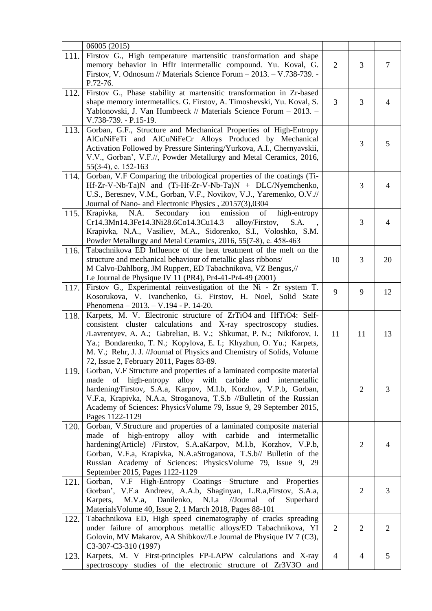| 111. | 06005 (2015)<br>Firstov G., High temperature martensitic transformation and shape<br>memory behavior in HfIr intermetallic compound. Yu. Koval, G.<br>Firstov, V. Odnosum // Materials Science Forum - 2013. - V.738-739. -<br>P.72-76.                                                                                                                                                                | $\overline{2}$ | 3              | $\tau$         |
|------|--------------------------------------------------------------------------------------------------------------------------------------------------------------------------------------------------------------------------------------------------------------------------------------------------------------------------------------------------------------------------------------------------------|----------------|----------------|----------------|
| 112. | Firstov G., Phase stability at martensitic transformation in Zr-based<br>shape memory intermetallics. G. Firstov, A. Timoshevski, Yu. Koval, S.<br>Yablonovski, J. Van Humbeeck // Materials Science Forum - 2013. -<br>V.738-739. - P.15-19.                                                                                                                                                          | 3              | 3              | $\overline{4}$ |
| 113. | Gorban, G.F., Structure and Mechanical Properties of High-Entropy<br>AlCuNiFeTi and AlCuNiFeCr Alloys Produced by Mechanical<br>Activation Followed by Pressure Sintering/Yurkova, A.I., Chernyavskii,<br>V.V., Gorban', V.F.//, Powder Metallurgy and Metal Ceramics, 2016,<br>55(3-4), c. 152-163                                                                                                    |                | 3              | 5              |
| 114. | Gorban, V.F Comparing the tribological properties of the coatings (Ti-<br>$Hf-Zr-V-Nb-Ta)N$ and $(Ti-Hf-Zr-V-Nb-Ta)N + DLC/Nyemchenko,$<br>U.S., Beresnev, V.M., Gorban, V.F., Novikov, V.J., Yaremenko, O.V.//<br>Journal of Nano- and Electronic Physics, 20157(3),0304                                                                                                                              |                | 3              | $\overline{4}$ |
| 115. | N.A.<br>Secondary ion<br>emission<br>Krapivka,<br>of<br>high-entropy<br>Cr14.3Mn14.3Fe14.3Ni28.6Co14.3Cu14.3<br>alloy/Firstov,<br>S.A.<br>Krapivka, N.A., Vasiliev, M.A., Sidorenko, S.I., Voloshko, S.M.<br>Powder Metallurgy and Metal Ceramics, 2016, 55(7-8), c. 458-463                                                                                                                           |                | 3              | $\overline{4}$ |
| 116. | Tabachnikova ED Influence of the heat treatment of the melt on the<br>structure and mechanical behaviour of metallic glass ribbons/<br>M Calvo-Dahlborg, JM Ruppert, ED Tabachnikova, VZ Bengus,//<br>Le Journal de Physique IV 11 (PR4), Pr4-41-Pr4-49 (2001)                                                                                                                                         | 10             | 3              | 20             |
| 117. | Firstov G., Experimental reinvestigation of the Ni - Zr system T.<br>Kosorukova, V. Ivanchenko, G. Firstov, H. Noel, Solid State<br>Phenomena $-2013. -V.194 - P. 14-20.$                                                                                                                                                                                                                              | 9              | 9              | 12             |
| 118. | Karpets, M. V. Electronic structure of ZrTiO4 and HfTiO4: Self-<br>consistent cluster calculations and X-ray spectroscopy studies.<br>/Lavrentyev, A. A.; Gabrelian, B. V.; Shkumat, P. N.; Nikiforov, I.<br>Ya.; Bondarenko, T. N.; Kopylova, E. I.; Khyzhun, O. Yu.; Karpets,<br>M. V.; Rehr, J. J. //Journal of Physics and Chemistry of Solids, Volume<br>72, Issue 2, February 2011, Pages 83-89. | 11             | 11             | 13             |
| 119. | Gorban, V.F Structure and properties of a laminated composite material<br>made of high-entropy alloy with carbide<br>and intermetallic<br>hardening/Firstov, S.A.a, Karpov, M.I.b, Korzhov, V.P.b, Gorban,<br>V.F.a, Krapivka, N.A.a, Stroganova, T.S.b //Bulletin of the Russian<br>Academy of Sciences: Physics Volume 79, Issue 9, 29 September 2015,<br>Pages 1122-1129                            |                | $\overline{2}$ | 3              |
| 120. | Gorban, V.Structure and properties of a laminated composite material<br>of high-entropy alloy with carbide<br>made<br>and<br>intermetallic<br>hardening(Article) /Firstov, S.A.aKarpov, M.I.b, Korzhov, V.P.b,<br>Gorban, V.F.a, Krapivka, N.A.aStroganova, T.S.b// Bulletin of the<br>Russian Academy of Sciences: Physics Volume 79, Issue 9, 29<br>September 2015, Pages 1122-1129                  |                | $\overline{2}$ | 4              |
| 121. | V.F High-Entropy Coatings—Structure and Properties<br>Gorban,<br>Gorban', V.F.a Andreev, A.A.b, Shaginyan, L.R.a, Firstov, S.A.a,<br>Danilenko, N.I.a //Journal<br>Karpets,<br>M.V.a,<br>of<br>Superhard<br>Materials Volume 40, Issue 2, 1 March 2018, Pages 88-101                                                                                                                                   |                | $\overline{2}$ | 3              |
| 122. | Tabachnikova ED, High speed cinematography of cracks spreading<br>under failure of amorphous metallic alloys/ED Tabachnikova, YI<br>Golovin, MV Makarov, AA Shibkov//Le Journal de Physique IV 7 (C3),<br>C3-307-C3-310 (1997)                                                                                                                                                                         | $\overline{2}$ | $\overline{2}$ | $\overline{2}$ |
| 123. | Karpets, M. V First-principles FP-LAPW calculations and X-ray<br>spectroscopy studies of the electronic structure of Zr3V3O and                                                                                                                                                                                                                                                                        | $\overline{4}$ | $\overline{4}$ | 5              |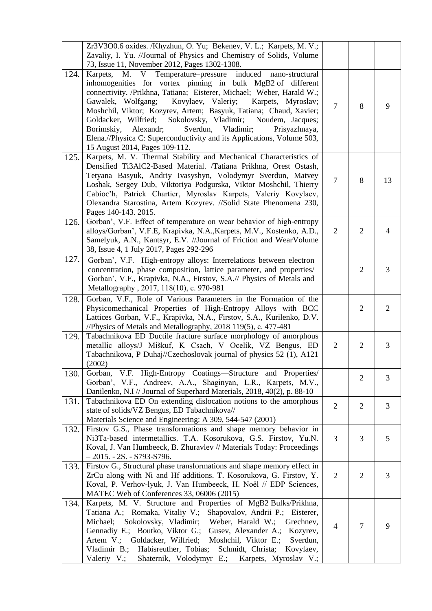|      | Zr3V3O0.6 oxides. /Khyzhun, O. Yu; Bekenev, V. L.; Karpets, M. V.;<br>Zavaliy, I. Yu. //Journal of Physics and Chemistry of Solids, Volume<br>73, Issue 11, November 2012, Pages 1302-1308.                                                                                                                                                                                                                                                                                                                                                                                                        |                |                |                |
|------|----------------------------------------------------------------------------------------------------------------------------------------------------------------------------------------------------------------------------------------------------------------------------------------------------------------------------------------------------------------------------------------------------------------------------------------------------------------------------------------------------------------------------------------------------------------------------------------------------|----------------|----------------|----------------|
| 124. | Karpets, M. V Temperature–pressure induced<br>nano-structural<br>inhomogenities for vortex pinning in bulk MgB2 of different<br>connectivity. /Prikhna, Tatiana; Eisterer, Michael; Weber, Harald W.;<br>Gawalek, Wolfgang;<br>Kovylaev, Valeriy;<br>Karpets, Myroslav;<br>Moshchil, Viktor; Kozyrev, Artem; Basyuk, Tatiana; Chaud, Xavier;<br>Goldacker, Wilfried;<br>Sokolovsky, Vladimir;<br>Noudem, Jacques;<br>Vladimir;<br>Borimskiy,<br>Alexandr;<br>Sverdun,<br>Prisyazhnaya,<br>Elena.//Physica C: Superconductivity and its Applications, Volume 503,<br>15 August 2014, Pages 109-112. | $\overline{7}$ | 8              | 9              |
| 125. | Karpets, M. V. Thermal Stability and Mechanical Characteristics of<br>Densified Ti3AlC2-Based Material. /Tatiana Prikhna, Orest Ostash,<br>Tetyana Basyuk, Andriy Ivasyshyn, Volodymyr Sverdun, Matvey<br>Loshak, Sergey Dub, Viktoriya Podgurska, Viktor Moshchil, Thierry<br>Cabioc'h, Patrick Chartier, Myroslav Karpets, Valeriy Kovylaev,<br>Olexandra Starostina, Artem Kozyrev. //Solid State Phenomena 230,<br>Pages 140-143. 2015.                                                                                                                                                        | $\overline{7}$ | 8              | 13             |
| 126. | Gorban', V.F. Effect of temperature on wear behavior of high-entropy<br>alloys/Gorban', V.F.E, Krapivka, N.A., Karpets, M.V., Kostenko, A.D.,<br>Samelyuk, A.N., Kantsyr, E.V. //Journal of Friction and WearVolume<br>38, Issue 4, 1 July 2017, Pages 292-296                                                                                                                                                                                                                                                                                                                                     | $\overline{2}$ | $\overline{2}$ | $\overline{4}$ |
| 127. | Gorban', V.F. High-entropy alloys: Interrelations between electron<br>concentration, phase composition, lattice parameter, and properties/<br>Gorban', V.F., Krapivka, N.A., Firstov, S.A.// Physics of Metals and<br>Metallography, 2017, 118(10), c. 970-981                                                                                                                                                                                                                                                                                                                                     |                | $\overline{2}$ | 3              |
| 128. | Gorban, V.F., Role of Various Parameters in the Formation of the<br>Physicomechanical Properties of High-Entropy Alloys with BCC<br>Lattices Gorban, V.F., Krapivka, N.A., Firstov, S.A., Kurilenko, D.V.<br>//Physics of Metals and Metallography, 2018 119(5), c. 477-481                                                                                                                                                                                                                                                                                                                        |                | $\overline{2}$ | $\overline{2}$ |
| 129. | Tabachnikova ED Ductile fracture surface morphology of amorphous<br>metallic alloys/J Miškuf, K Csach, V Ocelík, VZ Bengus, ED<br>Tabachnikova, P Duhaj//Czechoslovak journal of physics 52 (1), A121<br>(2002)                                                                                                                                                                                                                                                                                                                                                                                    | $\overline{2}$ | $\overline{2}$ | 3              |
| 130. | Gorban, V.F. High-Entropy Coatings—Structure and Properties/<br>Gorban', V.F., Andreev, A.A., Shaginyan, L.R., Karpets, M.V.,<br>Danilenko, N.I // Journal of Superhard Materials, 2018, 40(2), p. 88-10                                                                                                                                                                                                                                                                                                                                                                                           |                | $\overline{2}$ | 3              |
| 131. | Tabachnikova ED On extending dislocation notions to the amorphous<br>state of solids/VZ Bengus, ED Tabachnikova//<br>Materials Science and Engineering: A 309, 544-547 (2001)                                                                                                                                                                                                                                                                                                                                                                                                                      | $\overline{2}$ | $\overline{2}$ | 3              |
| 132. | Firstov G.S., Phase transformations and shape memory behavior in<br>Ni3Ta-based intermetallics. T.A. Kosorukova, G.S. Firstov, Yu.N.<br>Koval, J. Van Humbeeck, B. Zhuravlev // Materials Today: Proceedings<br>$-2015. -2S. - S793-S796.$                                                                                                                                                                                                                                                                                                                                                         | 3              | 3              | 5              |
| 133. | Firstov G., Structural phase transformations and shape memory effect in<br>ZrCu along with Ni and Hf additions. T. Kosorukova, G. Firstov, Y.<br>Koval, P. Verhov-lyuk, J. Van Humbeeck, H. Noël // EDP Sciences,<br>MATEC Web of Conferences 33, 06006 (2015)                                                                                                                                                                                                                                                                                                                                     | $\overline{2}$ | $\overline{2}$ | 3              |
| 134. | Karpets, M. V. Structure and Properties of MgB2 Bulks/Prikhna,<br>Tatiana A.; Romaka, Vitaliy V.; Shapovalov, Andrii P.; Eisterer,<br>Michael; Sokolovsky, Vladimir; Weber, Harald W.; Grechnev,<br>Gennadiy E.; Boutko, Viktor G.; Gusev, Alexander A.; Kozyrev,<br>Artem V.; Goldacker, Wilfried;<br>Moshchil, Viktor E.;<br>Sverdun,<br>Vladimir B.;<br>Habisreuther, Tobias; Schmidt, Christa; Kovylaev,<br>Shaternik, Volodymyr E.;<br>Valeriy V.;<br>Karpets, Myroslav V.;                                                                                                                   | $\overline{4}$ | $\overline{7}$ | 9              |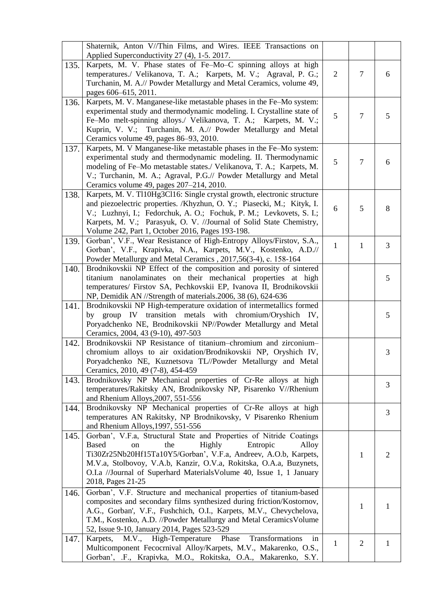| Applied Superconductivity 27 (4), 1-5. 2017.<br>Karpets, M. V. Phase states of Fe-Mo-C spinning alloys at high<br>135.<br>temperatures./ Velikanova, T. A.; Karpets, M. V.; Agraval, P. G.;<br>$\overline{2}$<br>$\overline{7}$<br>6<br>Turchanin, M. A.// Powder Metallurgy and Metal Ceramics, volume 49,<br>pages 606–615, 2011.<br>Karpets, M. V. Manganese-like metastable phases in the Fe-Mo system:<br>136.<br>experimental study and thermodynamic modeling. I. Crystalline state of<br>5<br>$\overline{7}$<br>5<br>Fe-Mo melt-spinning alloys./ Velikanova, T. A.; Karpets, M. V.;<br>Kuprin, V. V.; Turchanin, M. A.// Powder Metallurgy and Metal<br>Ceramics volume 49, pages 86-93, 2010.<br>Karpets, M. V Manganese-like metastable phases in the Fe-Mo system:<br>137.<br>experimental study and thermodynamic modeling. II. Thermodynamic<br>5<br>$\overline{7}$<br>6<br>modeling of Fe-Mo metastable states./ Velikanova, T. A.; Karpets, M.<br>V.; Turchanin, M. A.; Agraval, P.G.// Powder Metallurgy and Metal<br>Ceramics volume 49, pages 207-214, 2010.<br>Karpets, M. V. Tl10Hg3Cl16: Single crystal growth, electronic structure<br>138.<br>and piezoelectric properties. /Khyzhun, O. Y.; Piasecki, M.; Kityk, I.<br>5<br>6<br>8<br>V.; Luzhnyi, I.; Fedorchuk, A. O.; Fochuk, P. M.; Levkovets, S. I.;<br>Karpets, M. V.; Parasyuk, O. V. //Journal of Solid State Chemistry,<br>Volume 242, Part 1, October 2016, Pages 193-198.<br>Gorban', V.F., Wear Resistance of High-Entropy Alloys/Firstov, S.A.,<br>139.<br>$\mathbf{1}$<br>3<br>$\mathbf{1}$<br>Gorban', V.F., Krapivka, N.A., Karpets, M.V., Kostenko, A.D.//<br>Powder Metallurgy and Metal Ceramics, 2017,56(3-4), c. 158-164<br>Brodnikovskii NP Effect of the composition and porosity of sintered<br>140.<br>titanium nanolaminates on their mechanical properties at high<br>5<br>temperatures/ Firstov SA, Pechkovskii EP, Ivanova II, Brodnikovskii<br>NP, Demidik AN //Strength of materials.2006, 38 (6), 624-636<br>Brodnikovskii NP High-temperature oxidation of intermetallics formed<br>141.<br>by group IV transition metals with chromium/Oryshich IV,<br>5<br>Poryadchenko NE, Brodnikovskii NP//Powder Metallurgy and Metal<br>Ceramics, 2004, 43 (9-10), 497-503<br>Brodnikovskii NP Resistance of titanium-chromium and zirconium-<br>142.<br>chromium alloys to air oxidation/Brodnikovskii NP, Oryshich IV,<br>3<br>Poryadchenko NE, Kuznetsova TL//Powder Metallurgy and Metal<br>Ceramics, 2010, 49 (7-8), 454-459<br>Brodnikovsky NP Mechanical properties of Cr-Re alloys at high<br>143.<br>3<br>temperatures/Rakitsky AN, Brodnikovsky NP, Pisarenko V//Rhenium<br>and Rhenium Alloys, 2007, 551-556<br>Brodnikovsky NP Mechanical properties of Cr-Re alloys at high<br>144.<br>3<br>temperatures AN Rakitsky, NP Brodnikovsky, V Pisarenko Rhenium<br>and Rhenium Alloys, 1997, 551-556<br>Gorban', V.F.a, Structural State and Properties of Nitride Coatings<br>145.<br><b>Based</b><br>Highly<br>Entropic<br>the<br>Alloy<br>on<br>Ti30Zr25Nb20Hf15Ta10Y5/Gorban', V.F.a, Andreev, A.O.b, Karpets,<br>1<br>$\overline{2}$<br>M.V.a, Stolbovoy, V.A.b, Kanzir, O.V.a, Rokitska, O.A.a, Buzynets,<br>O.I.a //Journal of Superhard Materials Volume 40, Issue 1, 1 January<br>2018, Pages 21-25<br>Gorban', V.F. Structure and mechanical properties of titanium-based<br>146.<br>composites and secondary films synthesized during friction/Kostornov,<br>1<br>1<br>A.G., Gorban', V.F., Fushchich, O.I., Karpets, M.V., Chevychelova,<br>T.M., Kostenko, A.D. //Powder Metallurgy and Metal Ceramics Volume<br>52, Issue 9-10, January 2014, Pages 523-529<br>M.V., High-Temperature Phase<br>147.<br>Karpets,<br>Transformations<br>in<br>$\mathbf{1}$<br>$\overline{2}$<br>$\mathbf{1}$<br>Multicomponent Fecocrnival Alloy/Karpets, M.V., Makarenko, O.S.,<br>Gorban', .F., Krapivka, M.O., Rokitska, O.A., Makarenko, S.Y. | Shaternik, Anton V//Thin Films, and Wires. IEEE Transactions on |  |  |
|--------------------------------------------------------------------------------------------------------------------------------------------------------------------------------------------------------------------------------------------------------------------------------------------------------------------------------------------------------------------------------------------------------------------------------------------------------------------------------------------------------------------------------------------------------------------------------------------------------------------------------------------------------------------------------------------------------------------------------------------------------------------------------------------------------------------------------------------------------------------------------------------------------------------------------------------------------------------------------------------------------------------------------------------------------------------------------------------------------------------------------------------------------------------------------------------------------------------------------------------------------------------------------------------------------------------------------------------------------------------------------------------------------------------------------------------------------------------------------------------------------------------------------------------------------------------------------------------------------------------------------------------------------------------------------------------------------------------------------------------------------------------------------------------------------------------------------------------------------------------------------------------------------------------------------------------------------------------------------------------------------------------------------------------------------------------------------------------------------------------------------------------------------------------------------------------------------------------------------------------------------------------------------------------------------------------------------------------------------------------------------------------------------------------------------------------------------------------------------------------------------------------------------------------------------------------------------------------------------------------------------------------------------------------------------------------------------------------------------------------------------------------------------------------------------------------------------------------------------------------------------------------------------------------------------------------------------------------------------------------------------------------------------------------------------------------------------------------------------------------------------------------------------------------------------------------------------------------------------------------------------------------------------------------------------------------------------------------------------------------------------------------------------------------------------------------------------------------------------------------------------------------------------------------------------------------------------------------------------------------------------------------------------------------------------------------------------------------------------------------------------------------------------------------------------------------------------------------------------------------------------------------------------------------------------------------------------|-----------------------------------------------------------------|--|--|
|                                                                                                                                                                                                                                                                                                                                                                                                                                                                                                                                                                                                                                                                                                                                                                                                                                                                                                                                                                                                                                                                                                                                                                                                                                                                                                                                                                                                                                                                                                                                                                                                                                                                                                                                                                                                                                                                                                                                                                                                                                                                                                                                                                                                                                                                                                                                                                                                                                                                                                                                                                                                                                                                                                                                                                                                                                                                                                                                                                                                                                                                                                                                                                                                                                                                                                                                                                                                                                                                                                                                                                                                                                                                                                                                                                                                                                                                                                                                                        |                                                                 |  |  |
|                                                                                                                                                                                                                                                                                                                                                                                                                                                                                                                                                                                                                                                                                                                                                                                                                                                                                                                                                                                                                                                                                                                                                                                                                                                                                                                                                                                                                                                                                                                                                                                                                                                                                                                                                                                                                                                                                                                                                                                                                                                                                                                                                                                                                                                                                                                                                                                                                                                                                                                                                                                                                                                                                                                                                                                                                                                                                                                                                                                                                                                                                                                                                                                                                                                                                                                                                                                                                                                                                                                                                                                                                                                                                                                                                                                                                                                                                                                                                        |                                                                 |  |  |
|                                                                                                                                                                                                                                                                                                                                                                                                                                                                                                                                                                                                                                                                                                                                                                                                                                                                                                                                                                                                                                                                                                                                                                                                                                                                                                                                                                                                                                                                                                                                                                                                                                                                                                                                                                                                                                                                                                                                                                                                                                                                                                                                                                                                                                                                                                                                                                                                                                                                                                                                                                                                                                                                                                                                                                                                                                                                                                                                                                                                                                                                                                                                                                                                                                                                                                                                                                                                                                                                                                                                                                                                                                                                                                                                                                                                                                                                                                                                                        |                                                                 |  |  |
|                                                                                                                                                                                                                                                                                                                                                                                                                                                                                                                                                                                                                                                                                                                                                                                                                                                                                                                                                                                                                                                                                                                                                                                                                                                                                                                                                                                                                                                                                                                                                                                                                                                                                                                                                                                                                                                                                                                                                                                                                                                                                                                                                                                                                                                                                                                                                                                                                                                                                                                                                                                                                                                                                                                                                                                                                                                                                                                                                                                                                                                                                                                                                                                                                                                                                                                                                                                                                                                                                                                                                                                                                                                                                                                                                                                                                                                                                                                                                        |                                                                 |  |  |
|                                                                                                                                                                                                                                                                                                                                                                                                                                                                                                                                                                                                                                                                                                                                                                                                                                                                                                                                                                                                                                                                                                                                                                                                                                                                                                                                                                                                                                                                                                                                                                                                                                                                                                                                                                                                                                                                                                                                                                                                                                                                                                                                                                                                                                                                                                                                                                                                                                                                                                                                                                                                                                                                                                                                                                                                                                                                                                                                                                                                                                                                                                                                                                                                                                                                                                                                                                                                                                                                                                                                                                                                                                                                                                                                                                                                                                                                                                                                                        |                                                                 |  |  |
|                                                                                                                                                                                                                                                                                                                                                                                                                                                                                                                                                                                                                                                                                                                                                                                                                                                                                                                                                                                                                                                                                                                                                                                                                                                                                                                                                                                                                                                                                                                                                                                                                                                                                                                                                                                                                                                                                                                                                                                                                                                                                                                                                                                                                                                                                                                                                                                                                                                                                                                                                                                                                                                                                                                                                                                                                                                                                                                                                                                                                                                                                                                                                                                                                                                                                                                                                                                                                                                                                                                                                                                                                                                                                                                                                                                                                                                                                                                                                        |                                                                 |  |  |
|                                                                                                                                                                                                                                                                                                                                                                                                                                                                                                                                                                                                                                                                                                                                                                                                                                                                                                                                                                                                                                                                                                                                                                                                                                                                                                                                                                                                                                                                                                                                                                                                                                                                                                                                                                                                                                                                                                                                                                                                                                                                                                                                                                                                                                                                                                                                                                                                                                                                                                                                                                                                                                                                                                                                                                                                                                                                                                                                                                                                                                                                                                                                                                                                                                                                                                                                                                                                                                                                                                                                                                                                                                                                                                                                                                                                                                                                                                                                                        |                                                                 |  |  |
|                                                                                                                                                                                                                                                                                                                                                                                                                                                                                                                                                                                                                                                                                                                                                                                                                                                                                                                                                                                                                                                                                                                                                                                                                                                                                                                                                                                                                                                                                                                                                                                                                                                                                                                                                                                                                                                                                                                                                                                                                                                                                                                                                                                                                                                                                                                                                                                                                                                                                                                                                                                                                                                                                                                                                                                                                                                                                                                                                                                                                                                                                                                                                                                                                                                                                                                                                                                                                                                                                                                                                                                                                                                                                                                                                                                                                                                                                                                                                        |                                                                 |  |  |
|                                                                                                                                                                                                                                                                                                                                                                                                                                                                                                                                                                                                                                                                                                                                                                                                                                                                                                                                                                                                                                                                                                                                                                                                                                                                                                                                                                                                                                                                                                                                                                                                                                                                                                                                                                                                                                                                                                                                                                                                                                                                                                                                                                                                                                                                                                                                                                                                                                                                                                                                                                                                                                                                                                                                                                                                                                                                                                                                                                                                                                                                                                                                                                                                                                                                                                                                                                                                                                                                                                                                                                                                                                                                                                                                                                                                                                                                                                                                                        |                                                                 |  |  |
|                                                                                                                                                                                                                                                                                                                                                                                                                                                                                                                                                                                                                                                                                                                                                                                                                                                                                                                                                                                                                                                                                                                                                                                                                                                                                                                                                                                                                                                                                                                                                                                                                                                                                                                                                                                                                                                                                                                                                                                                                                                                                                                                                                                                                                                                                                                                                                                                                                                                                                                                                                                                                                                                                                                                                                                                                                                                                                                                                                                                                                                                                                                                                                                                                                                                                                                                                                                                                                                                                                                                                                                                                                                                                                                                                                                                                                                                                                                                                        |                                                                 |  |  |
|                                                                                                                                                                                                                                                                                                                                                                                                                                                                                                                                                                                                                                                                                                                                                                                                                                                                                                                                                                                                                                                                                                                                                                                                                                                                                                                                                                                                                                                                                                                                                                                                                                                                                                                                                                                                                                                                                                                                                                                                                                                                                                                                                                                                                                                                                                                                                                                                                                                                                                                                                                                                                                                                                                                                                                                                                                                                                                                                                                                                                                                                                                                                                                                                                                                                                                                                                                                                                                                                                                                                                                                                                                                                                                                                                                                                                                                                                                                                                        |                                                                 |  |  |
|                                                                                                                                                                                                                                                                                                                                                                                                                                                                                                                                                                                                                                                                                                                                                                                                                                                                                                                                                                                                                                                                                                                                                                                                                                                                                                                                                                                                                                                                                                                                                                                                                                                                                                                                                                                                                                                                                                                                                                                                                                                                                                                                                                                                                                                                                                                                                                                                                                                                                                                                                                                                                                                                                                                                                                                                                                                                                                                                                                                                                                                                                                                                                                                                                                                                                                                                                                                                                                                                                                                                                                                                                                                                                                                                                                                                                                                                                                                                                        |                                                                 |  |  |
|                                                                                                                                                                                                                                                                                                                                                                                                                                                                                                                                                                                                                                                                                                                                                                                                                                                                                                                                                                                                                                                                                                                                                                                                                                                                                                                                                                                                                                                                                                                                                                                                                                                                                                                                                                                                                                                                                                                                                                                                                                                                                                                                                                                                                                                                                                                                                                                                                                                                                                                                                                                                                                                                                                                                                                                                                                                                                                                                                                                                                                                                                                                                                                                                                                                                                                                                                                                                                                                                                                                                                                                                                                                                                                                                                                                                                                                                                                                                                        |                                                                 |  |  |
|                                                                                                                                                                                                                                                                                                                                                                                                                                                                                                                                                                                                                                                                                                                                                                                                                                                                                                                                                                                                                                                                                                                                                                                                                                                                                                                                                                                                                                                                                                                                                                                                                                                                                                                                                                                                                                                                                                                                                                                                                                                                                                                                                                                                                                                                                                                                                                                                                                                                                                                                                                                                                                                                                                                                                                                                                                                                                                                                                                                                                                                                                                                                                                                                                                                                                                                                                                                                                                                                                                                                                                                                                                                                                                                                                                                                                                                                                                                                                        |                                                                 |  |  |
|                                                                                                                                                                                                                                                                                                                                                                                                                                                                                                                                                                                                                                                                                                                                                                                                                                                                                                                                                                                                                                                                                                                                                                                                                                                                                                                                                                                                                                                                                                                                                                                                                                                                                                                                                                                                                                                                                                                                                                                                                                                                                                                                                                                                                                                                                                                                                                                                                                                                                                                                                                                                                                                                                                                                                                                                                                                                                                                                                                                                                                                                                                                                                                                                                                                                                                                                                                                                                                                                                                                                                                                                                                                                                                                                                                                                                                                                                                                                                        |                                                                 |  |  |
|                                                                                                                                                                                                                                                                                                                                                                                                                                                                                                                                                                                                                                                                                                                                                                                                                                                                                                                                                                                                                                                                                                                                                                                                                                                                                                                                                                                                                                                                                                                                                                                                                                                                                                                                                                                                                                                                                                                                                                                                                                                                                                                                                                                                                                                                                                                                                                                                                                                                                                                                                                                                                                                                                                                                                                                                                                                                                                                                                                                                                                                                                                                                                                                                                                                                                                                                                                                                                                                                                                                                                                                                                                                                                                                                                                                                                                                                                                                                                        |                                                                 |  |  |
|                                                                                                                                                                                                                                                                                                                                                                                                                                                                                                                                                                                                                                                                                                                                                                                                                                                                                                                                                                                                                                                                                                                                                                                                                                                                                                                                                                                                                                                                                                                                                                                                                                                                                                                                                                                                                                                                                                                                                                                                                                                                                                                                                                                                                                                                                                                                                                                                                                                                                                                                                                                                                                                                                                                                                                                                                                                                                                                                                                                                                                                                                                                                                                                                                                                                                                                                                                                                                                                                                                                                                                                                                                                                                                                                                                                                                                                                                                                                                        |                                                                 |  |  |
|                                                                                                                                                                                                                                                                                                                                                                                                                                                                                                                                                                                                                                                                                                                                                                                                                                                                                                                                                                                                                                                                                                                                                                                                                                                                                                                                                                                                                                                                                                                                                                                                                                                                                                                                                                                                                                                                                                                                                                                                                                                                                                                                                                                                                                                                                                                                                                                                                                                                                                                                                                                                                                                                                                                                                                                                                                                                                                                                                                                                                                                                                                                                                                                                                                                                                                                                                                                                                                                                                                                                                                                                                                                                                                                                                                                                                                                                                                                                                        |                                                                 |  |  |
|                                                                                                                                                                                                                                                                                                                                                                                                                                                                                                                                                                                                                                                                                                                                                                                                                                                                                                                                                                                                                                                                                                                                                                                                                                                                                                                                                                                                                                                                                                                                                                                                                                                                                                                                                                                                                                                                                                                                                                                                                                                                                                                                                                                                                                                                                                                                                                                                                                                                                                                                                                                                                                                                                                                                                                                                                                                                                                                                                                                                                                                                                                                                                                                                                                                                                                                                                                                                                                                                                                                                                                                                                                                                                                                                                                                                                                                                                                                                                        |                                                                 |  |  |
|                                                                                                                                                                                                                                                                                                                                                                                                                                                                                                                                                                                                                                                                                                                                                                                                                                                                                                                                                                                                                                                                                                                                                                                                                                                                                                                                                                                                                                                                                                                                                                                                                                                                                                                                                                                                                                                                                                                                                                                                                                                                                                                                                                                                                                                                                                                                                                                                                                                                                                                                                                                                                                                                                                                                                                                                                                                                                                                                                                                                                                                                                                                                                                                                                                                                                                                                                                                                                                                                                                                                                                                                                                                                                                                                                                                                                                                                                                                                                        |                                                                 |  |  |
|                                                                                                                                                                                                                                                                                                                                                                                                                                                                                                                                                                                                                                                                                                                                                                                                                                                                                                                                                                                                                                                                                                                                                                                                                                                                                                                                                                                                                                                                                                                                                                                                                                                                                                                                                                                                                                                                                                                                                                                                                                                                                                                                                                                                                                                                                                                                                                                                                                                                                                                                                                                                                                                                                                                                                                                                                                                                                                                                                                                                                                                                                                                                                                                                                                                                                                                                                                                                                                                                                                                                                                                                                                                                                                                                                                                                                                                                                                                                                        |                                                                 |  |  |
|                                                                                                                                                                                                                                                                                                                                                                                                                                                                                                                                                                                                                                                                                                                                                                                                                                                                                                                                                                                                                                                                                                                                                                                                                                                                                                                                                                                                                                                                                                                                                                                                                                                                                                                                                                                                                                                                                                                                                                                                                                                                                                                                                                                                                                                                                                                                                                                                                                                                                                                                                                                                                                                                                                                                                                                                                                                                                                                                                                                                                                                                                                                                                                                                                                                                                                                                                                                                                                                                                                                                                                                                                                                                                                                                                                                                                                                                                                                                                        |                                                                 |  |  |
|                                                                                                                                                                                                                                                                                                                                                                                                                                                                                                                                                                                                                                                                                                                                                                                                                                                                                                                                                                                                                                                                                                                                                                                                                                                                                                                                                                                                                                                                                                                                                                                                                                                                                                                                                                                                                                                                                                                                                                                                                                                                                                                                                                                                                                                                                                                                                                                                                                                                                                                                                                                                                                                                                                                                                                                                                                                                                                                                                                                                                                                                                                                                                                                                                                                                                                                                                                                                                                                                                                                                                                                                                                                                                                                                                                                                                                                                                                                                                        |                                                                 |  |  |
|                                                                                                                                                                                                                                                                                                                                                                                                                                                                                                                                                                                                                                                                                                                                                                                                                                                                                                                                                                                                                                                                                                                                                                                                                                                                                                                                                                                                                                                                                                                                                                                                                                                                                                                                                                                                                                                                                                                                                                                                                                                                                                                                                                                                                                                                                                                                                                                                                                                                                                                                                                                                                                                                                                                                                                                                                                                                                                                                                                                                                                                                                                                                                                                                                                                                                                                                                                                                                                                                                                                                                                                                                                                                                                                                                                                                                                                                                                                                                        |                                                                 |  |  |
|                                                                                                                                                                                                                                                                                                                                                                                                                                                                                                                                                                                                                                                                                                                                                                                                                                                                                                                                                                                                                                                                                                                                                                                                                                                                                                                                                                                                                                                                                                                                                                                                                                                                                                                                                                                                                                                                                                                                                                                                                                                                                                                                                                                                                                                                                                                                                                                                                                                                                                                                                                                                                                                                                                                                                                                                                                                                                                                                                                                                                                                                                                                                                                                                                                                                                                                                                                                                                                                                                                                                                                                                                                                                                                                                                                                                                                                                                                                                                        |                                                                 |  |  |
|                                                                                                                                                                                                                                                                                                                                                                                                                                                                                                                                                                                                                                                                                                                                                                                                                                                                                                                                                                                                                                                                                                                                                                                                                                                                                                                                                                                                                                                                                                                                                                                                                                                                                                                                                                                                                                                                                                                                                                                                                                                                                                                                                                                                                                                                                                                                                                                                                                                                                                                                                                                                                                                                                                                                                                                                                                                                                                                                                                                                                                                                                                                                                                                                                                                                                                                                                                                                                                                                                                                                                                                                                                                                                                                                                                                                                                                                                                                                                        |                                                                 |  |  |
|                                                                                                                                                                                                                                                                                                                                                                                                                                                                                                                                                                                                                                                                                                                                                                                                                                                                                                                                                                                                                                                                                                                                                                                                                                                                                                                                                                                                                                                                                                                                                                                                                                                                                                                                                                                                                                                                                                                                                                                                                                                                                                                                                                                                                                                                                                                                                                                                                                                                                                                                                                                                                                                                                                                                                                                                                                                                                                                                                                                                                                                                                                                                                                                                                                                                                                                                                                                                                                                                                                                                                                                                                                                                                                                                                                                                                                                                                                                                                        |                                                                 |  |  |
|                                                                                                                                                                                                                                                                                                                                                                                                                                                                                                                                                                                                                                                                                                                                                                                                                                                                                                                                                                                                                                                                                                                                                                                                                                                                                                                                                                                                                                                                                                                                                                                                                                                                                                                                                                                                                                                                                                                                                                                                                                                                                                                                                                                                                                                                                                                                                                                                                                                                                                                                                                                                                                                                                                                                                                                                                                                                                                                                                                                                                                                                                                                                                                                                                                                                                                                                                                                                                                                                                                                                                                                                                                                                                                                                                                                                                                                                                                                                                        |                                                                 |  |  |
|                                                                                                                                                                                                                                                                                                                                                                                                                                                                                                                                                                                                                                                                                                                                                                                                                                                                                                                                                                                                                                                                                                                                                                                                                                                                                                                                                                                                                                                                                                                                                                                                                                                                                                                                                                                                                                                                                                                                                                                                                                                                                                                                                                                                                                                                                                                                                                                                                                                                                                                                                                                                                                                                                                                                                                                                                                                                                                                                                                                                                                                                                                                                                                                                                                                                                                                                                                                                                                                                                                                                                                                                                                                                                                                                                                                                                                                                                                                                                        |                                                                 |  |  |
|                                                                                                                                                                                                                                                                                                                                                                                                                                                                                                                                                                                                                                                                                                                                                                                                                                                                                                                                                                                                                                                                                                                                                                                                                                                                                                                                                                                                                                                                                                                                                                                                                                                                                                                                                                                                                                                                                                                                                                                                                                                                                                                                                                                                                                                                                                                                                                                                                                                                                                                                                                                                                                                                                                                                                                                                                                                                                                                                                                                                                                                                                                                                                                                                                                                                                                                                                                                                                                                                                                                                                                                                                                                                                                                                                                                                                                                                                                                                                        |                                                                 |  |  |
|                                                                                                                                                                                                                                                                                                                                                                                                                                                                                                                                                                                                                                                                                                                                                                                                                                                                                                                                                                                                                                                                                                                                                                                                                                                                                                                                                                                                                                                                                                                                                                                                                                                                                                                                                                                                                                                                                                                                                                                                                                                                                                                                                                                                                                                                                                                                                                                                                                                                                                                                                                                                                                                                                                                                                                                                                                                                                                                                                                                                                                                                                                                                                                                                                                                                                                                                                                                                                                                                                                                                                                                                                                                                                                                                                                                                                                                                                                                                                        |                                                                 |  |  |
|                                                                                                                                                                                                                                                                                                                                                                                                                                                                                                                                                                                                                                                                                                                                                                                                                                                                                                                                                                                                                                                                                                                                                                                                                                                                                                                                                                                                                                                                                                                                                                                                                                                                                                                                                                                                                                                                                                                                                                                                                                                                                                                                                                                                                                                                                                                                                                                                                                                                                                                                                                                                                                                                                                                                                                                                                                                                                                                                                                                                                                                                                                                                                                                                                                                                                                                                                                                                                                                                                                                                                                                                                                                                                                                                                                                                                                                                                                                                                        |                                                                 |  |  |
|                                                                                                                                                                                                                                                                                                                                                                                                                                                                                                                                                                                                                                                                                                                                                                                                                                                                                                                                                                                                                                                                                                                                                                                                                                                                                                                                                                                                                                                                                                                                                                                                                                                                                                                                                                                                                                                                                                                                                                                                                                                                                                                                                                                                                                                                                                                                                                                                                                                                                                                                                                                                                                                                                                                                                                                                                                                                                                                                                                                                                                                                                                                                                                                                                                                                                                                                                                                                                                                                                                                                                                                                                                                                                                                                                                                                                                                                                                                                                        |                                                                 |  |  |
|                                                                                                                                                                                                                                                                                                                                                                                                                                                                                                                                                                                                                                                                                                                                                                                                                                                                                                                                                                                                                                                                                                                                                                                                                                                                                                                                                                                                                                                                                                                                                                                                                                                                                                                                                                                                                                                                                                                                                                                                                                                                                                                                                                                                                                                                                                                                                                                                                                                                                                                                                                                                                                                                                                                                                                                                                                                                                                                                                                                                                                                                                                                                                                                                                                                                                                                                                                                                                                                                                                                                                                                                                                                                                                                                                                                                                                                                                                                                                        |                                                                 |  |  |
|                                                                                                                                                                                                                                                                                                                                                                                                                                                                                                                                                                                                                                                                                                                                                                                                                                                                                                                                                                                                                                                                                                                                                                                                                                                                                                                                                                                                                                                                                                                                                                                                                                                                                                                                                                                                                                                                                                                                                                                                                                                                                                                                                                                                                                                                                                                                                                                                                                                                                                                                                                                                                                                                                                                                                                                                                                                                                                                                                                                                                                                                                                                                                                                                                                                                                                                                                                                                                                                                                                                                                                                                                                                                                                                                                                                                                                                                                                                                                        |                                                                 |  |  |
|                                                                                                                                                                                                                                                                                                                                                                                                                                                                                                                                                                                                                                                                                                                                                                                                                                                                                                                                                                                                                                                                                                                                                                                                                                                                                                                                                                                                                                                                                                                                                                                                                                                                                                                                                                                                                                                                                                                                                                                                                                                                                                                                                                                                                                                                                                                                                                                                                                                                                                                                                                                                                                                                                                                                                                                                                                                                                                                                                                                                                                                                                                                                                                                                                                                                                                                                                                                                                                                                                                                                                                                                                                                                                                                                                                                                                                                                                                                                                        |                                                                 |  |  |
|                                                                                                                                                                                                                                                                                                                                                                                                                                                                                                                                                                                                                                                                                                                                                                                                                                                                                                                                                                                                                                                                                                                                                                                                                                                                                                                                                                                                                                                                                                                                                                                                                                                                                                                                                                                                                                                                                                                                                                                                                                                                                                                                                                                                                                                                                                                                                                                                                                                                                                                                                                                                                                                                                                                                                                                                                                                                                                                                                                                                                                                                                                                                                                                                                                                                                                                                                                                                                                                                                                                                                                                                                                                                                                                                                                                                                                                                                                                                                        |                                                                 |  |  |
|                                                                                                                                                                                                                                                                                                                                                                                                                                                                                                                                                                                                                                                                                                                                                                                                                                                                                                                                                                                                                                                                                                                                                                                                                                                                                                                                                                                                                                                                                                                                                                                                                                                                                                                                                                                                                                                                                                                                                                                                                                                                                                                                                                                                                                                                                                                                                                                                                                                                                                                                                                                                                                                                                                                                                                                                                                                                                                                                                                                                                                                                                                                                                                                                                                                                                                                                                                                                                                                                                                                                                                                                                                                                                                                                                                                                                                                                                                                                                        |                                                                 |  |  |
|                                                                                                                                                                                                                                                                                                                                                                                                                                                                                                                                                                                                                                                                                                                                                                                                                                                                                                                                                                                                                                                                                                                                                                                                                                                                                                                                                                                                                                                                                                                                                                                                                                                                                                                                                                                                                                                                                                                                                                                                                                                                                                                                                                                                                                                                                                                                                                                                                                                                                                                                                                                                                                                                                                                                                                                                                                                                                                                                                                                                                                                                                                                                                                                                                                                                                                                                                                                                                                                                                                                                                                                                                                                                                                                                                                                                                                                                                                                                                        |                                                                 |  |  |
|                                                                                                                                                                                                                                                                                                                                                                                                                                                                                                                                                                                                                                                                                                                                                                                                                                                                                                                                                                                                                                                                                                                                                                                                                                                                                                                                                                                                                                                                                                                                                                                                                                                                                                                                                                                                                                                                                                                                                                                                                                                                                                                                                                                                                                                                                                                                                                                                                                                                                                                                                                                                                                                                                                                                                                                                                                                                                                                                                                                                                                                                                                                                                                                                                                                                                                                                                                                                                                                                                                                                                                                                                                                                                                                                                                                                                                                                                                                                                        |                                                                 |  |  |
|                                                                                                                                                                                                                                                                                                                                                                                                                                                                                                                                                                                                                                                                                                                                                                                                                                                                                                                                                                                                                                                                                                                                                                                                                                                                                                                                                                                                                                                                                                                                                                                                                                                                                                                                                                                                                                                                                                                                                                                                                                                                                                                                                                                                                                                                                                                                                                                                                                                                                                                                                                                                                                                                                                                                                                                                                                                                                                                                                                                                                                                                                                                                                                                                                                                                                                                                                                                                                                                                                                                                                                                                                                                                                                                                                                                                                                                                                                                                                        |                                                                 |  |  |
|                                                                                                                                                                                                                                                                                                                                                                                                                                                                                                                                                                                                                                                                                                                                                                                                                                                                                                                                                                                                                                                                                                                                                                                                                                                                                                                                                                                                                                                                                                                                                                                                                                                                                                                                                                                                                                                                                                                                                                                                                                                                                                                                                                                                                                                                                                                                                                                                                                                                                                                                                                                                                                                                                                                                                                                                                                                                                                                                                                                                                                                                                                                                                                                                                                                                                                                                                                                                                                                                                                                                                                                                                                                                                                                                                                                                                                                                                                                                                        |                                                                 |  |  |
|                                                                                                                                                                                                                                                                                                                                                                                                                                                                                                                                                                                                                                                                                                                                                                                                                                                                                                                                                                                                                                                                                                                                                                                                                                                                                                                                                                                                                                                                                                                                                                                                                                                                                                                                                                                                                                                                                                                                                                                                                                                                                                                                                                                                                                                                                                                                                                                                                                                                                                                                                                                                                                                                                                                                                                                                                                                                                                                                                                                                                                                                                                                                                                                                                                                                                                                                                                                                                                                                                                                                                                                                                                                                                                                                                                                                                                                                                                                                                        |                                                                 |  |  |
|                                                                                                                                                                                                                                                                                                                                                                                                                                                                                                                                                                                                                                                                                                                                                                                                                                                                                                                                                                                                                                                                                                                                                                                                                                                                                                                                                                                                                                                                                                                                                                                                                                                                                                                                                                                                                                                                                                                                                                                                                                                                                                                                                                                                                                                                                                                                                                                                                                                                                                                                                                                                                                                                                                                                                                                                                                                                                                                                                                                                                                                                                                                                                                                                                                                                                                                                                                                                                                                                                                                                                                                                                                                                                                                                                                                                                                                                                                                                                        |                                                                 |  |  |
|                                                                                                                                                                                                                                                                                                                                                                                                                                                                                                                                                                                                                                                                                                                                                                                                                                                                                                                                                                                                                                                                                                                                                                                                                                                                                                                                                                                                                                                                                                                                                                                                                                                                                                                                                                                                                                                                                                                                                                                                                                                                                                                                                                                                                                                                                                                                                                                                                                                                                                                                                                                                                                                                                                                                                                                                                                                                                                                                                                                                                                                                                                                                                                                                                                                                                                                                                                                                                                                                                                                                                                                                                                                                                                                                                                                                                                                                                                                                                        |                                                                 |  |  |
|                                                                                                                                                                                                                                                                                                                                                                                                                                                                                                                                                                                                                                                                                                                                                                                                                                                                                                                                                                                                                                                                                                                                                                                                                                                                                                                                                                                                                                                                                                                                                                                                                                                                                                                                                                                                                                                                                                                                                                                                                                                                                                                                                                                                                                                                                                                                                                                                                                                                                                                                                                                                                                                                                                                                                                                                                                                                                                                                                                                                                                                                                                                                                                                                                                                                                                                                                                                                                                                                                                                                                                                                                                                                                                                                                                                                                                                                                                                                                        |                                                                 |  |  |
|                                                                                                                                                                                                                                                                                                                                                                                                                                                                                                                                                                                                                                                                                                                                                                                                                                                                                                                                                                                                                                                                                                                                                                                                                                                                                                                                                                                                                                                                                                                                                                                                                                                                                                                                                                                                                                                                                                                                                                                                                                                                                                                                                                                                                                                                                                                                                                                                                                                                                                                                                                                                                                                                                                                                                                                                                                                                                                                                                                                                                                                                                                                                                                                                                                                                                                                                                                                                                                                                                                                                                                                                                                                                                                                                                                                                                                                                                                                                                        |                                                                 |  |  |
|                                                                                                                                                                                                                                                                                                                                                                                                                                                                                                                                                                                                                                                                                                                                                                                                                                                                                                                                                                                                                                                                                                                                                                                                                                                                                                                                                                                                                                                                                                                                                                                                                                                                                                                                                                                                                                                                                                                                                                                                                                                                                                                                                                                                                                                                                                                                                                                                                                                                                                                                                                                                                                                                                                                                                                                                                                                                                                                                                                                                                                                                                                                                                                                                                                                                                                                                                                                                                                                                                                                                                                                                                                                                                                                                                                                                                                                                                                                                                        |                                                                 |  |  |
|                                                                                                                                                                                                                                                                                                                                                                                                                                                                                                                                                                                                                                                                                                                                                                                                                                                                                                                                                                                                                                                                                                                                                                                                                                                                                                                                                                                                                                                                                                                                                                                                                                                                                                                                                                                                                                                                                                                                                                                                                                                                                                                                                                                                                                                                                                                                                                                                                                                                                                                                                                                                                                                                                                                                                                                                                                                                                                                                                                                                                                                                                                                                                                                                                                                                                                                                                                                                                                                                                                                                                                                                                                                                                                                                                                                                                                                                                                                                                        |                                                                 |  |  |
|                                                                                                                                                                                                                                                                                                                                                                                                                                                                                                                                                                                                                                                                                                                                                                                                                                                                                                                                                                                                                                                                                                                                                                                                                                                                                                                                                                                                                                                                                                                                                                                                                                                                                                                                                                                                                                                                                                                                                                                                                                                                                                                                                                                                                                                                                                                                                                                                                                                                                                                                                                                                                                                                                                                                                                                                                                                                                                                                                                                                                                                                                                                                                                                                                                                                                                                                                                                                                                                                                                                                                                                                                                                                                                                                                                                                                                                                                                                                                        |                                                                 |  |  |
|                                                                                                                                                                                                                                                                                                                                                                                                                                                                                                                                                                                                                                                                                                                                                                                                                                                                                                                                                                                                                                                                                                                                                                                                                                                                                                                                                                                                                                                                                                                                                                                                                                                                                                                                                                                                                                                                                                                                                                                                                                                                                                                                                                                                                                                                                                                                                                                                                                                                                                                                                                                                                                                                                                                                                                                                                                                                                                                                                                                                                                                                                                                                                                                                                                                                                                                                                                                                                                                                                                                                                                                                                                                                                                                                                                                                                                                                                                                                                        |                                                                 |  |  |
|                                                                                                                                                                                                                                                                                                                                                                                                                                                                                                                                                                                                                                                                                                                                                                                                                                                                                                                                                                                                                                                                                                                                                                                                                                                                                                                                                                                                                                                                                                                                                                                                                                                                                                                                                                                                                                                                                                                                                                                                                                                                                                                                                                                                                                                                                                                                                                                                                                                                                                                                                                                                                                                                                                                                                                                                                                                                                                                                                                                                                                                                                                                                                                                                                                                                                                                                                                                                                                                                                                                                                                                                                                                                                                                                                                                                                                                                                                                                                        |                                                                 |  |  |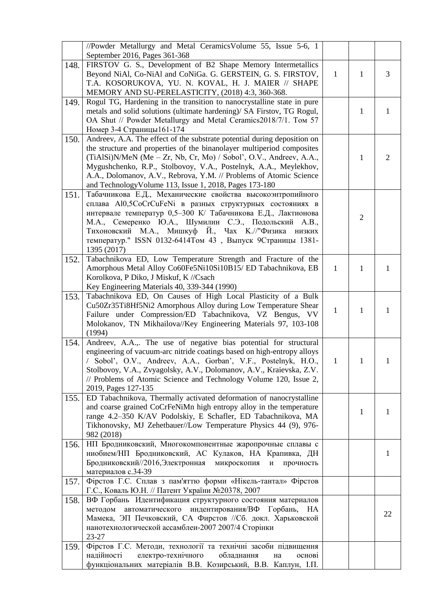|      | //Powder Metallurgy and Metal Ceramics Volume 55, Issue 5-6, 1<br>September 2016, Pages 361-368                                                                                                                                                                                                                                                                                                                                 |              |              |                |
|------|---------------------------------------------------------------------------------------------------------------------------------------------------------------------------------------------------------------------------------------------------------------------------------------------------------------------------------------------------------------------------------------------------------------------------------|--------------|--------------|----------------|
| 148. | FIRSTOV G. S., Development of B2 Shape Memory Intermetallics<br>Beyond NiAl, Co-NiAl and CoNiGa. G. GERSTEIN, G. S. FIRSTOV,<br>T.A. KOSORUKOVA, YU. N. KOVAL, H. J. MAIER // SHAPE<br>MEMORY AND SU-PERELASTICITY, (2018) 4:3, 360-368.                                                                                                                                                                                        | $\mathbf{1}$ | $\mathbf{1}$ | 3              |
| 149. | Rogul TG, Hardening in the transition to nanocrystalline state in pure<br>metals and solid solutions (ultimate hardening)/ SA Firstov, TG Rogul,<br>OA Shut // Powder Metallurgy and Metal Ceramics2018/7/1. Tom 57<br>Номер 3-4 Страницы 161-174                                                                                                                                                                               |              | $\mathbf{1}$ | $\mathbf{1}$   |
| 150. | Andreev, A.A. The effect of the substrate potential during deposition on<br>the structure and properties of the binanolayer multiperiod composites<br>$(TiAISi)N/MeN$ (Me – Zr, Nb, Cr, Mo) / Sobol', O.V., Andreev, A.A.,<br>Mygushchenko, R.P., Stolbovoy, V.A., Postelnyk, A.A., Meylekhov,<br>A.A., Dolomanov, A.V., Rebrova, Y.M. // Problems of Atomic Science<br>and Technology Volume 113, Issue 1, 2018, Pages 173-180 |              | $\mathbf{1}$ | $\overline{2}$ |
| 151. | Табачникова Е.Д., Механические свойства высокоэнтропийного<br>сплава Al0,5CoCrCuFeNi в разных структурных состояниях в<br>интервале температур 0,5-300 К/ Табачникова Е.Д., Лактионова<br>М.А., Семеренко Ю.А., Шумилин С.Э., Подольский А.В.,<br>Тихоновский М.А., Мишкуф Й., Чах К.//"Физика низких<br>температур." ISSN 0132-6414Том 43, Выпуск 9Страницы 1381-<br>1395 (2017)                                               |              | $\mathbf{2}$ |                |
| 152. | Tabachnikova ED, Low Temperature Strength and Fracture of the<br>Amorphous Metal Alloy Co60Fe5Ni10Si10B15/ED Tabachnikova, EB<br>Korolkova, P Diko, J Miskuf, K //Csach<br>Key Engineering Materials 40, 339-344 (1990)                                                                                                                                                                                                         | $\mathbf{1}$ | $\mathbf{1}$ | $\mathbf{1}$   |
| 153. | Tabachnikova ED, On Causes of High Local Plasticity of a Bulk<br>Cu50Zr35Ti8Hf5Ni2 Amorphous Alloy during Low Temperature Shear<br>Failure under Compression/ED Tabachnikova, VZ Bengus, VV<br>Molokanov, TN Mikhailova//Key Engineering Materials 97, 103-108<br>(1994)                                                                                                                                                        | $\mathbf{1}$ | $\mathbf{1}$ | 1              |
| 154. | Andreev, A.A.,. The use of negative bias potential for structural<br>engineering of vacuum-arc nitride coatings based on high-entropy alloys<br>Sobol', O.V., Andreev, A.A., Gorban', V.F., Postelnyk, H.O.,<br>Stolbovoy, V.A., Zvyagolsky, A.V., Dolomanov, A.V., Kraievska, Z.V.<br>// Problems of Atomic Science and Technology Volume 120, Issue 2,<br>2019, Pages 127-135                                                 | 1            | 1            | 1              |
| 155. | ED Tabachnikova, Thermally activated deformation of nanocrystalline<br>and coarse grained CoCrFeNiMn high entropy alloy in the temperature<br>range 4.2-350 K/AV Podolskiy, E Schafler, ED Tabachnikova, MA<br>Tikhonovsky, MJ Zehetbauer//Low Temperature Physics 44 (9), 976-<br>982 (2018)                                                                                                                                   |              | 1            | 1              |
| 156. | НП Бродниковский, Многокомпонентные жаропрочные сплавы с<br>ниобием/НП Бродниковский, АС Кулаков, НА Крапивка, ДН<br>Бродниковский//2016, Электронная<br>микроскопия<br>прочность<br>И<br>материалов с.34-39                                                                                                                                                                                                                    |              |              | 1              |
| 157. | Фірстов Г.С. Сплав з пам'яттю форми «Нікель-тантал» Фірстов<br>Г.С., Коваль Ю.Н. // Патент України №20378, 2007                                                                                                                                                                                                                                                                                                                 |              |              |                |
| 158. | ВФ Горбань Идентификация структурного состояния материалов<br>автоматического индентирования/ВФ Горбань,<br>методом<br>HA<br>Мамека, ЭП Печковский, СА Фирстов //Сб. докл. Харьковской<br>нанотехнологической ассамблеи-2007 2007/4 Сторінки<br>23-27                                                                                                                                                                           |              |              | 22             |
| 159. | Фірстов Г.С. Методи, технології та технічні засоби підвищення<br>електро-технічного<br>надійності<br>обладнання<br>основі<br>на<br>функціональних матеріалів В.В. Козирський, В.В. Каплун, І.П.                                                                                                                                                                                                                                 |              |              |                |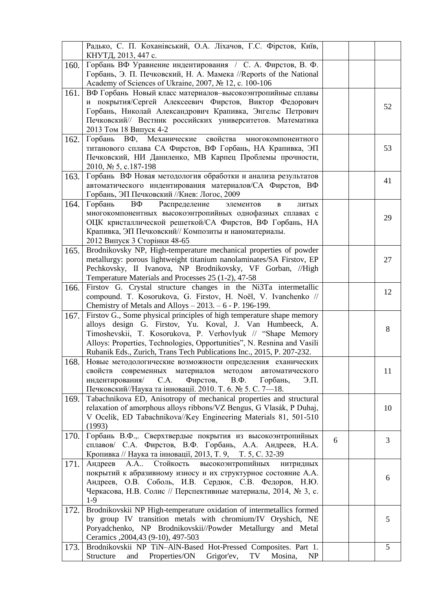|      | Радько, С. П. Коханівський, О.А. Ліхачов, Г.С. Фірстов, Київ,<br>КНУТД, 2013, 447 с.                                                                                                                                                                                                                                                                 |   |    |
|------|------------------------------------------------------------------------------------------------------------------------------------------------------------------------------------------------------------------------------------------------------------------------------------------------------------------------------------------------------|---|----|
| 160. | Горбань ВФ Уравнение индентирования / С. А. Фирстов, В. Ф.<br>Горбань, Э. П. Печковский, Н. А. Мамека //Reports of the National<br>Academy of Sciences of Ukraine, 2007, № 12, c. 100-106                                                                                                                                                            |   |    |
| 161. | ВФ Горбань Новый класс материалов-высокоэнтропийные сплавы<br>и покрытия/Сергей Алексеевич Фирстов, Виктор Федорович<br>Горбань, Николай Александрович Крапивка, Энгельс Петрович<br>Печковский// Вестник российских университетов. Математика<br>2013 Том 18 Випуск 4-2                                                                             |   | 52 |
| 162. | Горбань ВФ, Механические<br>свойства<br>многокомпонентного<br>титанового сплава СА Фирстов, ВФ Горбань, НА Крапивка, ЭП<br>Печковский, НИ Даниленко, МВ Карпец Проблемы прочности,<br>2010, № 5, с.187-198                                                                                                                                           |   | 53 |
| 163. | Горбань ВФ Новая методология обработки и анализа результатов<br>автоматического индентирования материалов/СА Фирстов, ВФ<br>Горбань, ЭП Печковский //Киев: Логос, 2009                                                                                                                                                                               |   | 41 |
| 164. | Горбань<br>BΦ<br>Распределение<br>элементов<br>$\bf{B}$<br>ЛИТЫХ<br>многокомпонентных высокоэнтропийных однофазных сплавах с<br>ОЦК кристаллической решеткой/СА Фирстов, ВФ Горбань, НА<br>Крапивка, ЭП Печковский// Композиты и наноматериалы.<br>2012 Випуск 3 Сторінки 48-65                                                                      |   | 29 |
| 165. | Brodnikovsky NP, High-temperature mechanical properties of powder<br>metallurgy: porous lightweight titanium nanolaminates/SA Firstov, EP<br>Pechkovsky, II Ivanova, NP Brodnikovsky, VF Gorban, //High<br>Temperature Materials and Processes 25 (1-2), 47-58                                                                                       |   | 27 |
| 166. | Firstov G. Crystal structure changes in the Ni3Ta intermetallic<br>compound. T. Kosorukova, G. Firstov, H. Noël, V. Ivanchenko //<br>Chemistry of Metals and Alloys $-2013. -6$ - P. 196-199.                                                                                                                                                        |   | 12 |
| 167. | Firstov G., Some physical principles of high temperature shape memory<br>alloys design G. Firstov, Yu. Koval, J. Van Humbeeck, A.<br>Timoshevskii, T. Kosorukova, P. Verhovlyuk // "Shape Memory<br>Alloys: Properties, Technologies, Opportunities", N. Resnina and Vasili<br>Rubanik Eds., Zurich, Trans Tech Publications Inc., 2015, P. 207-232. |   | 8  |
| 168. | Новые методологические возможности определения еханических<br>свойств современных материалов методом<br>автоматического<br>индентирования/<br>C.A.<br>Фирстов,<br>$B.\Phi.$<br>Горбань,<br>Э.П.<br>Печковский//Наука та інновації. 2010. Т. 6. № 5. С. 7-18.                                                                                         |   | 11 |
| 169. | Tabachnikova ED, Anisotropy of mechanical properties and structural<br>relaxation of amorphous alloys ribbons/VZ Bengus, G Vlasák, P Duhaj,<br>V Ocelík, ED Tabachnikova//Key Engineering Materials 81, 501-510<br>(1993)                                                                                                                            |   | 10 |
| 170. | Горбань В.Ф.,. Сверхтвердые покрытия из высокоэнтропийных<br>сплавов/ С.А. Фирстов, В.Ф. Горбань, А.А. Андреев, Н.А.<br>Кропивка // Наука та інновації, 2013, Т. 9, Т. 5, С. 32-39                                                                                                                                                                   | 6 | 3  |
| 171. | Стойкость<br>A.A<br>высокоэнтропийных<br>Андреев<br>нитридных<br>покрытий к абразивному износу и их структурное состояние А.А.<br>Андреев, О.В. Соболь, И.В. Сердюк, С.В. Федоров, Н.Ю.<br>Черкасова, Н.В. Солис // Перспективные материалы, 2014, № 3, с.<br>$1-9$                                                                                  |   | 6  |
| 172. | Brodnikovskii NP High-temperature oxidation of intermetallics formed<br>by group IV transition metals with chromium/IV Oryshich, NE<br>Poryadchenko, NP Brodnikovskii//Powder Metallurgy and Metal<br>Ceramics , 2004, 43 (9-10), 497-503                                                                                                            |   | 5  |
| 173. | Brodnikovskii NP TiN-AlN-Based Hot-Pressed Composites. Part 1.<br>Structure<br>and Properties/ON Grigor'ev,<br>TV<br>NP<br>Mosina,                                                                                                                                                                                                                   |   | 5  |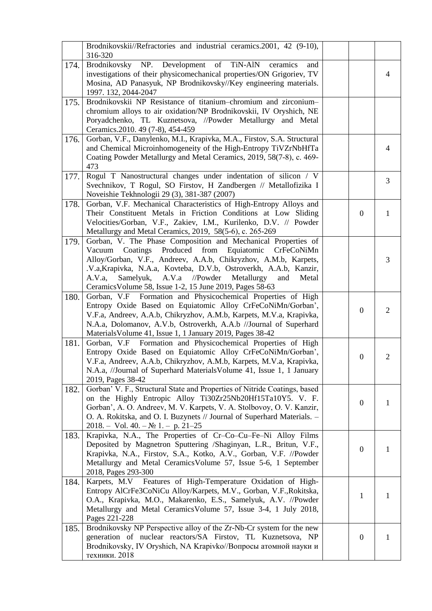|      | Brodnikovskii//Refractories and industrial ceramics.2001, 42 (9-10),<br>316-320                                                                                                                                                                                                                                                                                                           |                  |                |
|------|-------------------------------------------------------------------------------------------------------------------------------------------------------------------------------------------------------------------------------------------------------------------------------------------------------------------------------------------------------------------------------------------|------------------|----------------|
| 174. | Brodnikovsky NP. Development of TiN-AlN<br>ceramics<br>and<br>investigations of their physicomechanical properties/ON Grigoriev, TV<br>Mosina, AD Panasyuk, NP Brodnikovsky//Key engineering materials.<br>1997. 132, 2044-2047                                                                                                                                                           |                  | 4              |
| 175. | Brodnikovskii NP Resistance of titanium-chromium and zirconium-                                                                                                                                                                                                                                                                                                                           |                  |                |
|      | chromium alloys to air oxidation/NP Brodnikovskii, IV Oryshich, NE<br>Poryadchenko, TL Kuznetsova, //Powder Metallurgy and Metal<br>Ceramics.2010. 49 (7-8), 454-459                                                                                                                                                                                                                      |                  |                |
| 176. | Gorban, V.F., Danylenko, M.I., Krapivka, M.A., Firstov, S.A. Structural<br>and Chemical Microinhomogeneity of the High-Entropy TiVZrNbHfTa<br>Coating Powder Metallurgy and Metal Ceramics, 2019, 58(7-8), c. 469-<br>473                                                                                                                                                                 |                  | 4              |
| 177. | Rogul T Nanostructural changes under indentation of silicon / V<br>Svechnikov, T Rogul, SO Firstov, H Zandbergen // Metallofizika I<br>Noveishie Tekhnologii 29 (3), 381-387 (2007)                                                                                                                                                                                                       |                  | 3              |
| 178. | Gorban, V.F. Mechanical Characteristics of High-Entropy Alloys and<br>Their Constituent Metals in Friction Conditions at Low Sliding<br>Velocities/Gorban, V.F., Zakiev, I.M., Kurilenko, D.V. // Powder<br>Metallurgy and Metal Ceramics, 2019, 58(5-6), c. 265-269                                                                                                                      | $\mathbf{0}$     | $\mathbf{1}$   |
| 179. | Gorban, V. The Phase Composition and Mechanical Properties of<br>Vacuum Coatings Produced from Equiatomic CrFeCoNiMn<br>Alloy/Gorban, V.F., Andreev, A.A.b, Chikryzhov, A.M.b, Karpets,<br>.V.a, Krapivka, N.A.a, Kovteba, D.V.b, Ostroverkh, A.A.b, Kanzir,<br>Samelyuk, A.V.a //Powder Metallurgy<br>A.V.a,<br>and<br>Metal<br>Ceramics Volume 58, Issue 1-2, 15 June 2019, Pages 58-63 |                  | 3              |
| 180. | Gorban, V.F Formation and Physicochemical Properties of High<br>Entropy Oxide Based on Equiatomic Alloy CrFeCoNiMn/Gorban',<br>V.F.a, Andreev, A.A.b, Chikryzhov, A.M.b, Karpets, M.V.a, Krapivka,<br>N.A.a, Dolomanov, A.V.b, Ostroverkh, A.A.b //Journal of Superhard<br>Materials Volume 41, Issue 1, 1 January 2019, Pages 38-42                                                      | $\overline{0}$   | $\overline{2}$ |
| 181. | Gorban, V.F Formation and Physicochemical Properties of High<br>Entropy Oxide Based on Equiatomic Alloy CrFeCoNiMn/Gorban',<br>V.F.a, Andreev, A.A.b, Chikryzhov, A.M.b, Karpets, M.V.a, Krapivka,<br>N.A.a, //Journal of Superhard Materials Volume 41, Issue 1, 1 January<br>2019, Pages 38-42                                                                                          | $\boldsymbol{0}$ | $\overline{2}$ |
| 182. | Gorban' V. F., Structural State and Properties of Nitride Coatings, based<br>on the Highly Entropic Alloy Ti30Zr25Nb20Hf15Ta10Y5. V. F.<br>Gorban', A. O. Andreev, M. V. Karpets, V. A. Stolbovoy, O. V. Kanzir,<br>O. A. Rokitska, and O. I. Buzynets // Journal of Superhard Materials. -<br>$2018. - Vol. 40. - N2 1. - p. 21-25$                                                      | $\boldsymbol{0}$ | 1              |
| 183. | Krapivka, N.A., The Properties of Cr-Co-Cu-Fe-Ni Alloy Films<br>Deposited by Magnetron Sputtering /Shaginyan, L.R., Britun, V.F.,<br>Krapivka, N.A., Firstov, S.A., Kotko, A.V., Gorban, V.F. //Powder<br>Metallurgy and Metal Ceramics Volume 57, Issue 5-6, 1 September<br>2018, Pages 293-300                                                                                          | $\boldsymbol{0}$ | 1              |
| 184. | Karpets, M.V Features of High-Temperature Oxidation of High-<br>Entropy AlCrFe3CoNiCu Alloy/Karpets, M.V., Gorban, V.F., Rokitska,<br>O.A., Krapivka, M.O., Makarenko, E.S., Samelyuk, A.V. //Powder<br>Metallurgy and Metal Ceramics Volume 57, Issue 3-4, 1 July 2018,<br>Pages 221-228                                                                                                 | 1                | 1              |
| 185. | Brodnikovsky NP Perspective alloy of the Zr-Nb-Cr system for the new<br>generation of nuclear reactors/SA Firstov, TL Kuznetsova, NP<br>Brodnikovsky, IV Oryshich, NA Krapivko//Вопросы атомной науки и<br>техники. 2018                                                                                                                                                                  | $\boldsymbol{0}$ | 1              |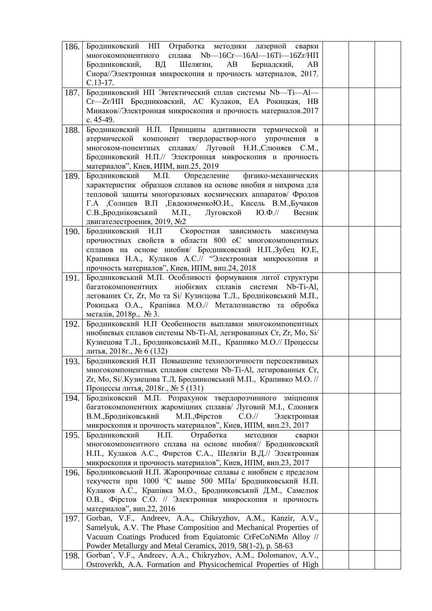| 186. | Бродниковский НП Отработка методики лазерной<br>сварки<br>сплава Nb-16Cr-16Al-16Ti-16Zr/HП<br>многокомпонентного           |  |  |
|------|----------------------------------------------------------------------------------------------------------------------------|--|--|
|      | Шелягин,<br>Бродниковский,<br>ВД<br>AB<br>Бернадский,<br>AB                                                                |  |  |
|      | Сиора//Электронная микроскопия и прочность материалов, 2017.                                                               |  |  |
|      | $C.13-17.$                                                                                                                 |  |  |
| 187. | Бродниковский НП Эвтектический сплав системы Nb-Ti-Al-                                                                     |  |  |
|      | Сг-Zr/НП Бродниковский, АС Кулаков, ЕА Рокицкая, НВ                                                                        |  |  |
|      | Минаков//Электронная микроскопия и прочность материалов.2017                                                               |  |  |
|      | c. 45-49.                                                                                                                  |  |  |
| 188. | Бродниковский Н.П. Принципы адитивности термической и                                                                      |  |  |
|      | атермической компонент твердораствор-ного упрочнения<br>$\, {\bf B}$                                                       |  |  |
|      | многоком-понентных сплавах/ Луговой Н.И., Слюняев С.М.,                                                                    |  |  |
|      | Бродниковский Н.П.// Электронная микроскопия и прочность                                                                   |  |  |
|      | материалов", Киев, ИПМ, вип.25, 2019                                                                                       |  |  |
| 189. | Бродниковский<br>Μ.Π.<br>Определение<br>физико-механических                                                                |  |  |
|      | характеристик образцов сплавов на основе ниобия и нихрома для                                                              |  |  |
|      | тепловой защиты многоразовых космических аппаратов/ Фролов                                                                 |  |  |
|      | Г.А ,Солнцев В.П ,ЕвдокименкоЮ.И., Кисель В.М.,Бучаков                                                                     |  |  |
|      | С.В., Бродніковський М.П.,<br>$(O.\Phi.$ //<br>Луговской<br>Весник                                                         |  |  |
|      | двигателестроения, 2019, №2                                                                                                |  |  |
| 190. | Бродниковский Н.П Скоростная<br>зависимость<br>максимума                                                                   |  |  |
|      | прочностных свойств в области 800 оС многокомпонентных                                                                     |  |  |
|      | сплавов на основе ниобия/ Бродниковский Н.П., Зубец Ю.Е,<br>Крапивка Н.А., Кулаков А.С.// "Электронная микроскопия и       |  |  |
|      | прочность материалов", Киев, ИПМ, вип.24, 2018                                                                             |  |  |
| 191. | Бродниковський М.П. Особливості формування литої структури                                                                 |  |  |
|      | багатокомпонентних ніобієвих сплавів системи Nb-Ti-Al,                                                                     |  |  |
|      | легованих Cr, Zr, Мо та Si/ Кузнєцова Т.Л., Бродніковський М.П.,                                                           |  |  |
|      | Рокицька О.А., Крапівка М.О.// Металознавство та обробка                                                                   |  |  |
|      | металів, 2018р., № 3.                                                                                                      |  |  |
| 192. | Бродниковский Н.П Особенности выплавки многокомпонентных                                                                   |  |  |
|      | ниобиевых сплавов системы Nb-Ti-Al, легированных Cr, Zr, Mo, Si/                                                           |  |  |
|      | Кузнецова Т.Л., Бродниковський М.П., Крапивко М.О.// Процессы                                                              |  |  |
|      | литья, 2018г., № 6 (132)                                                                                                   |  |  |
| 193. | Бродниковский Н.П Повышение технологичности перспективных                                                                  |  |  |
|      | многокомпонентных сплавов системи Nb-Ti-Al, легированных Cr,                                                               |  |  |
|      | Zr, Mo, Si/.Кузнецова Т.Л, Бродниковський М.П., Крапивко М.О. //                                                           |  |  |
|      | Процессы литья, 2018г., № 5 (131)                                                                                          |  |  |
| 194. | Бродніковский М.П. Розрахунок твердорозчинного<br>зміцнення                                                                |  |  |
|      | багатокомпонентних жароміцних сплавів/ Луговий М.І., Слюняєв                                                               |  |  |
|      | В.М., Бродніковський<br>М.П., Фірстов<br>$C.O.$ //<br>Электронная                                                          |  |  |
|      | микроскопия и прочность материалов", Киев, ИПМ, вип.23, 2017                                                               |  |  |
| 195. | $H.\Pi.$<br>Отработка<br>Бродниковский<br>методики<br>сварки                                                               |  |  |
|      | многокомпонентного сплава на основе ниобия// Бродниковский<br>Н.П., Кулаков А.С., Фирстов С.А., Шелягін В.Д.// Электронная |  |  |
|      | микроскопия и прочность материалов", Киев, ИПМ, вип.23, 2017                                                               |  |  |
| 196. | Бродниковський Н.П. Жаропрочные сплавы с ниобием с пределом                                                                |  |  |
|      | текучести при 1000 °С выше 500 МПа/ Бродниковський Н.П.                                                                    |  |  |
|      | Кулаков А.С., Крапівка М.О., Бродниковський Д.М., Самелюк                                                                  |  |  |
|      | О.В., Фірстов С.О. // Электронная микроскопия и прочность                                                                  |  |  |
|      | материалов", вип.22, 2016                                                                                                  |  |  |
| 197. | Gorban, V.F., Andreev, A.A., Chikryzhov, A.M., Kanzir, A.V.,                                                               |  |  |
|      | Samelyuk, A.V. The Phase Composition and Mechanical Properties of                                                          |  |  |
|      | Vacuum Coatings Produced from Equiatomic CrFeCoNiMn Alloy //                                                               |  |  |
|      | Powder Metallurgy and Metal Ceramics, 2019, 58(1-2), p. 58-63                                                              |  |  |
| 198. | Gorban', V.F., Andreev, A.A., Chikryzhov, A.M., Dolomanov, A.V.,                                                           |  |  |
|      | Ostroverkh, A.A. Formation and Physicochemical Properties of High                                                          |  |  |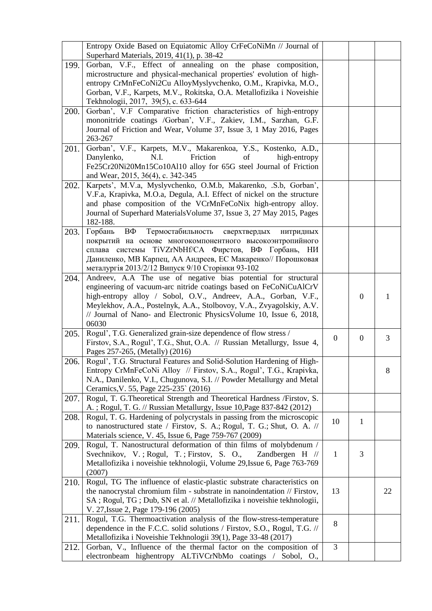|      | Entropy Oxide Based on Equiatomic Alloy CrFeCoNiMn // Journal of<br>Superhard Materials, 2019, 41(1), p. 38-42                                                                                                                                                                                  |              |                  |    |
|------|-------------------------------------------------------------------------------------------------------------------------------------------------------------------------------------------------------------------------------------------------------------------------------------------------|--------------|------------------|----|
| 199. | Gorban, V.F., Effect of annealing on the phase composition,<br>microstructure and physical-mechanical properties' evolution of high-                                                                                                                                                            |              |                  |    |
|      | entropy CrMnFeCoNi2Cu AlloyMyslyvchenko, O.M., Krapivka, M.O.,<br>Gorban, V.F., Karpets, M.V., Rokitska, O.A. Metallofizika i Noveishie                                                                                                                                                         |              |                  |    |
|      | Tekhnologii, 2017, 39(5), c. 633-644                                                                                                                                                                                                                                                            |              |                  |    |
| 200. | Gorban', V.F Comparative friction characteristics of high-entropy<br>mononitride coatings /Gorban', V.F., Zakiev, I.M., Sarzhan, G.F.<br>Journal of Friction and Wear, Volume 37, Issue 3, 1 May 2016, Pages<br>263-267                                                                         |              |                  |    |
| 201. | Gorban', V.F., Karpets, M.V., Makarenkoa, Y.S., Kostenko, A.D.,<br>Friction<br>Danylenko,<br>N.I.<br>of<br>high-entropy<br>Fe25Cr20Ni20Mn15Co10Al10 alloy for 65G steel Journal of Friction<br>and Wear, 2015, 36(4), c. 342-345                                                                |              |                  |    |
| 202. | Karpets', M.V.a, Myslyvchenko, O.M.b, Makarenko, .S.b, Gorban',<br>V.F.a, Krapivka, M.O.a, Degula, A.I. Effect of nickel on the structure<br>and phase composition of the VCrMnFeCoNix high-entropy alloy.<br>Journal of Superhard Materials Volume 37, Issue 3, 27 May 2015, Pages<br>182-188. |              |                  |    |
| 203. | Горбань<br>Термостабильность сверхтвердых<br>ВΦ<br>нитридных<br>покрытий на основе многокомпонентного высокоэнтропийного<br>сплава системы<br>TiVZrNbHf/CA Фирстов, ВФ Горбань, НИ<br>Даниленко, МВ Карпец, АА Андреев, ЕС Макаренко// Порошковая                                               |              |                  |    |
| 204. | металургія 2013/2/12 Випуск 9/10 Сторінки 93-102<br>Andreev, A.A The use of negative bias potential for structural                                                                                                                                                                              |              |                  |    |
|      | engineering of vacuum-arc nitride coatings based on FeCoNiCuAlCrV<br>high-entropy alloy / Sobol, O.V., Andreev, A.A., Gorban, V.F.,<br>Meylekhov, A.A., Postelnyk, A.A., Stolbovoy, V.A., Zvyagolskiy, A.V.<br>// Journal of Nano- and Electronic Physics Volume 10, Issue 6, 2018,<br>06030    |              | $\boldsymbol{0}$ | 1  |
| 205. | Rogul', T.G. Generalized grain-size dependence of flow stress /<br>Firstov, S.A., Rogul', T.G., Shut, O.A. // Russian Metallurgy, Issue 4,<br>Pages 257-265, (Metally) (2016)                                                                                                                   | $\theta$     | $\overline{0}$   | 3  |
| 206. | Rogul', T.G. Structural Features and Solid-Solution Hardening of High-<br>Entropy CrMnFeCoNi Alloy // Firstov, S.A., Rogul', T.G., Krapivka,<br>N.A., Danilenko, V.I., Chugunova, S.I. // Powder Metallurgy and Metal<br>Ceramics, V. 55, Page 225-235 (2016)                                   |              |                  | 8  |
| 207. | Rogul, T. G. Theoretical Strength and Theoretical Hardness /Firstov, S.<br>A.; Rogul, T. G. // Russian Metallurgy, Issue 10, Page 837-842 (2012)                                                                                                                                                |              |                  |    |
| 208. | Rogul, T. G. Hardening of polycrystals in passing from the microscopic<br>to nanostructured state / Firstov, S. A.; Rogul, T. G.; Shut, O. A. //<br>Materials science, V. 45, Issue 6, Page 759-767 (2009)                                                                                      | 10           | $\mathbf{1}$     |    |
| 209. | Rogul, T. Nanostructural deformation of thin films of molybdenum /<br>Svechnikov, V.; Rogul, T.; Firstov, S. O.,<br>Zandbergen $H$ //<br>Metallofizika i noveishie tekhnologii, Volume 29, Issue 6, Page 763-769<br>(2007)                                                                      | $\mathbf{1}$ | 3                |    |
| 210. | Rogul, TG The influence of elastic-plastic substrate characteristics on<br>the nanocrystal chromium film - substrate in nanoindentation // Firstov,<br>SA; Rogul, TG; Dub, SN et al. // Metallofizika i noveishie tekhnologii,<br>V. 27, Issue 2, Page 179-196 (2005)                           | 13           |                  | 22 |
| 211. | Rogul, T.G. Thermoactivation analysis of the flow-stress-temperature<br>dependence in the F.C.C. solid solutions / Firstov, S.O., Rogul, T.G. //<br>Metallofizika i Noveishie Tekhnologii 39(1), Page 33-48 (2017)                                                                              | 8            |                  |    |
| 212. | Gorban, V., Influence of the thermal factor on the composition of<br>electronbeam highentropy ALTiVCrNbMo coatings / Sobol, O.,                                                                                                                                                                 | 3            |                  |    |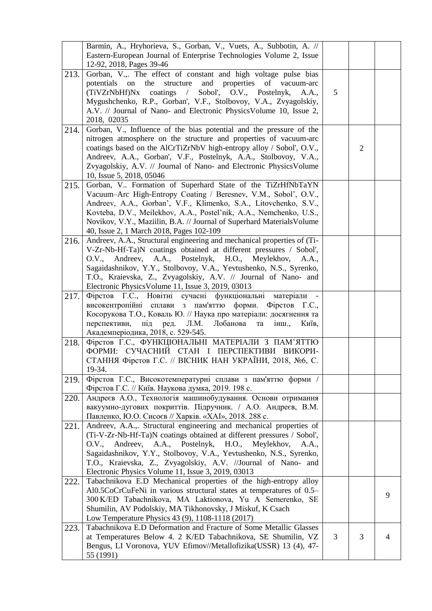|      | Barmin, A., Hryhorieva, S., Gorban, V., Vuets, A., Subbotin, A. //<br>Eastern-European Journal of Enterprise Technologies Volume 2, Issue<br>12-92, 2018, Pages 39-46                                                                                                                                                                                                                                      |   |                |   |
|------|------------------------------------------------------------------------------------------------------------------------------------------------------------------------------------------------------------------------------------------------------------------------------------------------------------------------------------------------------------------------------------------------------------|---|----------------|---|
| 213. | Gorban, V.,. The effect of constant and high voltage pulse bias<br>potentials on the<br>structure and properties of vacuum-arc<br>(TiVZrNbHf)Nx coatings / Sobol', O.V., Postelnyk,<br>A.A.,<br>Mygushchenko, R.P., Gorban', V.F., Stolbovoy, V.A., Zvyagolskiy,<br>A.V. // Journal of Nano- and Electronic Physics Volume 10, Issue 2,<br>2018, 02035                                                     | 5 |                |   |
| 214. | Gorban, V., Influence of the bias potential and the pressure of the<br>nitrogen atmosphere on the structure and properties of vacuum-arc<br>coatings based on the AlCrTiZrNbV high-entropy alloy / Sobol', O.V.,<br>Andreev, A.A., Gorban', V.F., Postelnyk, A.A., Stolbovoy, V.A.,<br>Zvyagolskiy, A.V. // Journal of Nano- and Electronic Physics Volume<br>10, Issue 5, 2018, 05046                     |   | $\overline{2}$ |   |
| 215. | Gorban, V Formation of Superhard State of the TiZrHfNbTaYN<br>Vacuum-Arc High-Entropy Coating / Beresnev, V.M., Sobol', O.V.,<br>Andreev, A.A., Gorban', V.F., Klimenko, S.A., Litovchenko, S.V.,<br>Kovteba, D.V., Meilekhov, A.A., Postel'nik, A.A., Nemchenko, U.S.,<br>Novikov, V.Y., Maziilin, B.A. // Journal of Superhard Materials Volume<br>40, Issue 2, 1 March 2018, Pages 102-109              |   |                |   |
| 216. | Andreev, A.A., Structural engineering and mechanical properties of (Ti-<br>V-Zr-Nb-Hf-Ta)N coatings obtained at different pressures / Sobol',<br>O.V., Andreev, A.A., Postelnyk, H.O.,<br>Meylekhov, A.A.,<br>Sagaidashnikov, Y.Y., Stolbovoy, V.A., Yevtushenko, N.S., Syrenko,<br>T.O., Kraievska, Z., Zvyagolskiy, A.V. // Journal of Nano- and<br>Electronic Physics Volume 11, Issue 3, 2019, 03013   |   |                |   |
| 217. | Фірстов Г.С., Новітні сучасні функціональні<br>матеріали<br>високентропійні сплави з пам'яттю форми. Фірстов Г.С.,<br>Косорукова Т.О., Коваль Ю. // Наука про матеріали: досягнення та<br>перспективи,<br>під ред.<br>Л.М.<br>Лобанова<br>та<br>інш.,<br>Київ,<br>Академперіодика, 2018, с. 529-545.                                                                                                       |   |                |   |
| 218. | Фірстов Г.С., ФУНКЦІОНАЛЬНІ МАТЕРІАЛИ З ПАМ'ЯТТЮ<br>ФОРМИ: СУЧАСНИЙ СТАН І ПЕРСПЕКТИВИ ВИКОРИ-<br>СТАННЯ Фірстов Г.С. // ВІСНИК НАН УКРАЇНИ, 2018, №6, С.<br>19-34.                                                                                                                                                                                                                                        |   |                |   |
| 219. | Фірстов Г.С., Високотемпературні сплави з пам'яттю форми /<br>Фірстов Г.С. // Київ. Наукова думка, 2019. 198 с.                                                                                                                                                                                                                                                                                            |   |                |   |
| 220. | Андреєв А.О., Технологія машинобудування. Основи отримання<br>вакуумно-дугових покриттів. Підручник. / А.О. Андреєв, В.М.<br>Павленко, Ю.О. Сисоєв // Харків. «ХАІ», 2018. 288 с.                                                                                                                                                                                                                          |   |                |   |
| 221. | Andreev, A.A.,. Structural engineering and mechanical properties of<br>(Ti-V-Zr-Nb-Hf-Ta)N coatings obtained at different pressures / Sobol',<br>O.V., Andreev, A.A., Postelnyk, H.O.,<br>Meylekhov,<br>A.A.,<br>Sagaidashnikov, Y.Y., Stolbovoy, V.A., Yevtushenko, N.S., Syrenko,<br>T.O., Kraievska, Z., Zvyagolskiy, A.V. //Journal of Nano- and<br>Electronic Physics Volume 11, Issue 3, 2019, 03013 |   |                |   |
| 222. | Tabachnikova E.D Mechanical properties of the high-entropy alloy<br>Al0.5CoCrCuFeNi in various structural states at temperatures of 0.5–<br>300 K/ED Tabachnikova, MA Laktionova, Yu A Semerenko, SE<br>Shumilin, AV Podolskiy, MA Tikhonovsky, J Miskuf, K Csach<br>Low Temperature Physics 43 (9), 1108-1118 (2017)                                                                                      |   |                | 9 |
| 223. | Tabachnikova E.D Deformation and Fracture of Some Metallic Glasses<br>at Temperatures Below 4. 2 K/ED Tabachnikova, SE Shumilin, VZ<br>Bengus, LI Voronova, YUV Efimov//Metallofizika(USSR) 13 (4), 47-<br>55 (1991)                                                                                                                                                                                       | 3 | 3              | 4 |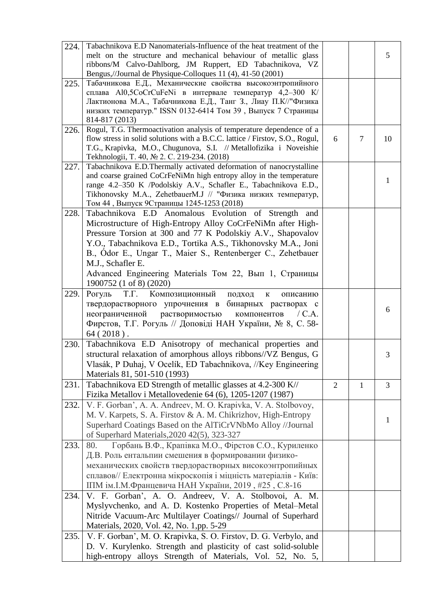| 224. | Tabachnikova E.D Nanomaterials-Influence of the heat treatment of the<br>melt on the structure and mechanical behaviour of metallic glass          |                |                | 5              |
|------|----------------------------------------------------------------------------------------------------------------------------------------------------|----------------|----------------|----------------|
|      | ribbons/M Calvo-Dahlborg, JM Ruppert, ED Tabachnikova, VZ<br>Bengus,//Journal de Physique-Colloques 11 (4), 41-50 (2001)                           |                |                |                |
| 225. | Табачникова Е.Д., Механические свойства высокоэнтропийного                                                                                         |                |                |                |
|      | сплава Al0,5CoCrCuFeNi в интервале температур 4,2-300 K/                                                                                           |                |                |                |
|      | Лактионова М.А., Табачникова Е.Д., Танг З., Лиау П.К//"Физика                                                                                      |                |                |                |
|      | низких температур." ISSN 0132-6414 Том 39, Выпуск 7 Страницы<br>814-817 (2013)                                                                     |                |                |                |
| 226. | Rogul, T.G. Thermoactivation analysis of temperature dependence of a                                                                               |                |                |                |
|      | flow stress in solid solutions with a B.C.C. lattice / Firstov, S.O., Rogul,<br>T.G., Krapivka, M.O., Chugunova, S.I. // Metallofizika i Noveishie | 6              | $\overline{7}$ | 10             |
|      | Tekhnologii, T. 40, № 2. C. 219-234. (2018)                                                                                                        |                |                |                |
| 227. | Tabachnikova E.D.Thermally activated deformation of nanocrystalline                                                                                |                |                |                |
|      | and coarse grained CoCrFeNiMn high entropy alloy in the temperature                                                                                |                |                |                |
|      | range 4.2-350 K /Podolskiy A.V., Schafler E., Tabachnikova E.D.,                                                                                   |                |                | 1              |
|      | Tikhonovsky M.A., ZehetbauerM.J // "Физика низких температур,                                                                                      |                |                |                |
|      | Том 44, Выпуск 9Страницы 1245-1253 (2018)                                                                                                          |                |                |                |
| 228. | Tabachnikova E.D Anomalous Evolution of Strength and                                                                                               |                |                |                |
|      | Microstructure of High-Entropy Alloy CoCrFeNiMn after High-<br>Pressure Torsion at 300 and 77 K Podolskiy A.V., Shapovalov                         |                |                |                |
|      | Y.O., Tabachnikova E.D., Tortika A.S., Tikhonovsky M.A., Joni                                                                                      |                |                |                |
|      | B., Odor E., Ungar T., Maier S., Rentenberger C., Zehetbauer                                                                                       |                |                |                |
|      | M.J., Schafler E.                                                                                                                                  |                |                |                |
|      | Advanced Engineering Materials Том 22, Вып 1, Страницы                                                                                             |                |                |                |
|      | 1900752 (1 of 8) (2020)                                                                                                                            |                |                |                |
| 229. | Т.Г. Композиционный<br>Рогуль<br>подход<br>$\mathbf{K}$<br>описанию                                                                                |                |                |                |
|      | твердорастворного упрочнения в бинарных растворах с                                                                                                |                |                |                |
|      | неограниченной растворимостью<br>компонентов<br>/C.A.                                                                                              |                |                | 6              |
|      | Фирстов, Т.Г. Рогуль // Доповіді НАН України, № 8, С. 58-                                                                                          |                |                |                |
|      | $64(2018)$ .                                                                                                                                       |                |                |                |
| 230. | Tabachnikova E.D Anisotropy of mechanical properties and                                                                                           |                |                |                |
|      | structural relaxation of amorphous alloys ribbons//VZ Bengus, G                                                                                    |                |                | 3              |
|      | Vlasák, P Duhaj, V Ocelík, ED Tabachnikova, //Key Engineering                                                                                      |                |                |                |
|      | Materials 81, 501-510 (1993)                                                                                                                       |                |                |                |
| 231. | Tabachnikova ED Strength of metallic glasses at 4.2-300 K//<br>Fizika Metallov i Metallovedenie 64 (6), 1205-1207 (1987)                           | $\overline{2}$ | $\mathbf{1}$   | $\overline{3}$ |
| 232. | V. F. Gorban', A. A. Andreev, M. O. Krapivka, V. A. Stolbovoy,                                                                                     |                |                |                |
|      | M. V. Karpets, S. A. Firstov & A. M. Chikrizhov, High-Entropy                                                                                      |                |                |                |
|      | Superhard Coatings Based on the AlTiCrVNbMo Alloy //Journal                                                                                        |                |                | 1              |
|      | of Superhard Materials, 2020 42(5), 323-327                                                                                                        |                |                |                |
| 233. | Горбань В.Ф., Крапівка М.О., Фірстов С.О., Куриленко<br>80.                                                                                        |                |                |                |
|      | Д.В. Роль ентальпии смешения в формировании физико-                                                                                                |                |                |                |
|      | механических свойств твердорастворных високоэнтропийных                                                                                            |                |                |                |
|      | сплавов// Електронна мікроскопія і міцність матеріалів - Київ:                                                                                     |                |                |                |
|      | IПМ ім. І.М. Францевича НАН України, 2019, #25, С.8-16                                                                                             |                |                |                |
| 234. | V. F. Gorban', A. O. Andreev, V. A. Stolbovoi, A. M.                                                                                               |                |                |                |
|      | Myslyvchenko, and A. D. Kostenko Properties of Metal-Metal                                                                                         |                |                |                |
|      | Nitride Vacuum-Arc Multilayer Coatings// Journal of Superhard                                                                                      |                |                |                |
|      | Materials, 2020, Vol. 42, No. 1,pp. 5-29                                                                                                           |                |                |                |
| 235. | V. F. Gorban', M. O. Krapivka, S. O. Firstov, D. G. Verbylo, and<br>D. V. Kurylenko. Strength and plasticity of cast solid-soluble                 |                |                |                |
|      | high-entropy alloys Strength of Materials, Vol. 52, No. 5,                                                                                         |                |                |                |
|      |                                                                                                                                                    |                |                |                |